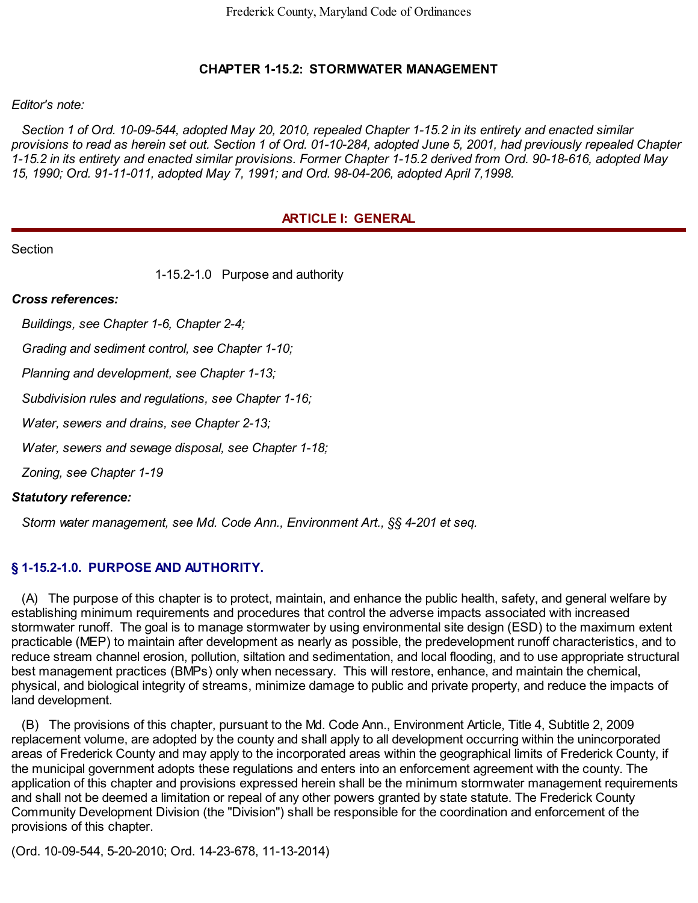## **CHAPTER 1-15.2: STORMWATER MANAGEMENT**

#### *Editor's note:*

Section 1 of Ord. 10-09-544, adopted May 20, 2010, repealed Chapter 1-15.2 in its entirety and enacted similar provisions to read as herein set out. Section 1 of Ord. 01-10-284, adopted June 5, 2001, had previously repealed Chapter 1-15.2 in its entirety and enacted similar provisions. Former Chapter 1-15.2 derived from Ord. 90-18-616, adopted May *15, 1990; Ord. 91-11-011, adopted May 7, 1991; and Ord. 98-04-206, adopted April 7,1998.*

## **ARTICLE I: GENERAL**

**Section** 

1-15.2-1.0 Purpose and authority

#### *Cross references:*

*Buildings, see Chapter 1-6, Chapter 2-4;*

*Grading and sediment control, see Chapter 1-10;*

*Planning and development, see Chapter 1-13;*

*Subdivision rules and regulations, see Chapter 1-16;*

*Water, sewers and drains, see Chapter 2-13;*

*Water, sewers and sewage disposal, see Chapter 1-18;*

*Zoning, see Chapter 1-19*

#### *Statutory reference:*

*Storm water management, see Md. Code Ann., Environment Art., §§ 4-201 et seq.*

## **§ 1-15.2-1.0. PURPOSE AND AUTHORITY.**

(A) The purpose of this chapter is to protect, maintain, and enhance the public health, safety, and general welfare by establishing minimum requirements and procedures that control the adverse impacts associated with increased stormwater runoff. The goal is to manage stormwater by using environmental site design (ESD) to the maximum extent practicable (MEP) to maintain after development as nearly as possible, the predevelopment runoff characteristics, and to reduce stream channel erosion, pollution, siltation and sedimentation, and local flooding, and to use appropriate structural best management practices (BMPs) only when necessary. This will restore, enhance, and maintain the chemical, physical, and biological integrity of streams, minimize damage to public and private property, and reduce the impacts of land development.

(B) The provisions of this chapter, pursuant to the Md. Code Ann., Environment Article, Title 4, Subtitle 2, 2009 replacement volume, are adopted by the county and shall apply to all development occurring within the unincorporated areas of Frederick County and may apply to the incorporated areas within the geographical limits of Frederick County, if the municipal government adopts these regulations and enters into an enforcement agreement with the county. The application of this chapter and provisions expressed herein shall be the minimum stormwater management requirements and shall not be deemed a limitation or repeal of any other powers granted by state statute. The Frederick County Community Development Division (the "Division") shall be responsible for the coordination and enforcement of the provisions of this chapter.

(Ord. 10-09-544, 5-20-2010; Ord. 14-23-678, 11-13-2014)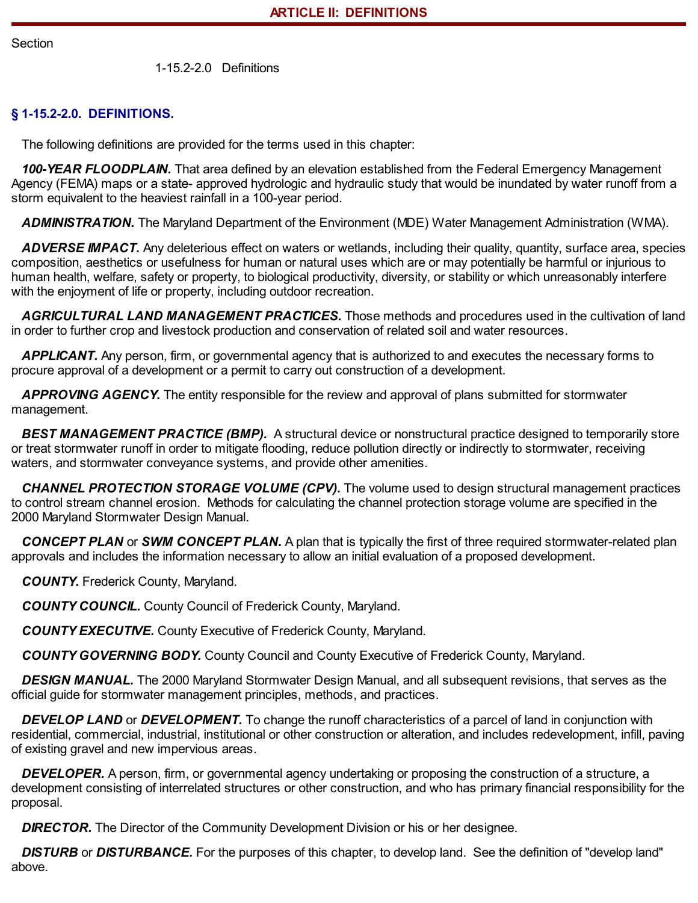Section

1-15.2-2.0 Definitions

## **§ 1-15.2-2.0. DEFINITIONS.**

The following definitions are provided for the terms used in this chapter:

*100-YEAR FLOODPLAIN.* That area defined by an elevation established from the Federal Emergency Management Agency (FEMA) maps or a state- approved hydrologic and hydraulic study that would be inundated by water runoff from a storm equivalent to the heaviest rainfall in a 100-year period.

*ADMINISTRATION.* The Maryland Department of the Environment (MDE) Water Management Administration (WMA).

*ADVERSE IMPACT.* Any deleterious effect on waters or wetlands, including their quality, quantity, surface area, species composition, aesthetics or usefulness for human or natural uses which are or may potentially be harmful or injurious to human health, welfare, safety or property, to biological productivity, diversity, or stability or which unreasonably interfere with the enjoyment of life or property, including outdoor recreation.

*AGRICULTURAL LAND MANAGEMENT PRACTICES.* Those methods and procedures used in the cultivation of land in order to further crop and livestock production and conservation of related soil and water resources.

*APPLICANT.* Any person, firm, or governmental agency that is authorized to and executes the necessary forms to procure approval of a development or a permit to carry out construction of a development.

*APPROVING AGENCY.* The entity responsible for the review and approval of plans submitted for stormwater management.

*BEST MANAGEMENT PRACTICE (BMP).* A structural device or nonstructural practice designed to temporarily store or treat stormwater runoff in order to mitigate flooding, reduce pollution directly or indirectly to stormwater, receiving waters, and stormwater conveyance systems, and provide other amenities.

*CHANNEL PROTECTION STORAGE VOLUME (CPV).* The volume used to design structural management practices to control stream channel erosion. Methods for calculating the channel protection storage volume are specified in the 2000 Maryland Stormwater Design Manual.

*CONCEPT PLAN* or *SWM CONCEPT PLAN.* A plan that is typically the first of three required stormwater-related plan approvals and includes the information necessary to allow an initial evaluation of a proposed development.

*COUNTY.* Frederick County, Maryland.

*COUNTY COUNCIL.* County Council of Frederick County, Maryland.

*COUNTY EXECUTIVE.* County Executive of Frederick County, Maryland.

*COUNTY GOVERNING BODY.* County Council and County Executive of Frederick County, Maryland.

*DESIGN MANUAL.* The 2000 Maryland Stormwater Design Manual, and all subsequent revisions, that serves as the official guide for stormwater management principles, methods, and practices.

*DEVELOP LAND* or *DEVELOPMENT.* To change the runoff characteristics of a parcel of land in conjunction with residential, commercial, industrial, institutional or other construction or alteration, and includes redevelopment, infill, paving of existing gravel and new impervious areas.

*DEVELOPER.* A person, firm, or governmental agency undertaking or proposing the construction of a structure, a development consisting of interrelated structures or other construction, and who has primary financial responsibility for the proposal.

**DIRECTOR.** The Director of the Community Development Division or his or her designee.

*DISTURB* or *DISTURBANCE.* For the purposes of this chapter, to develop land. See the definition of "develop land" above.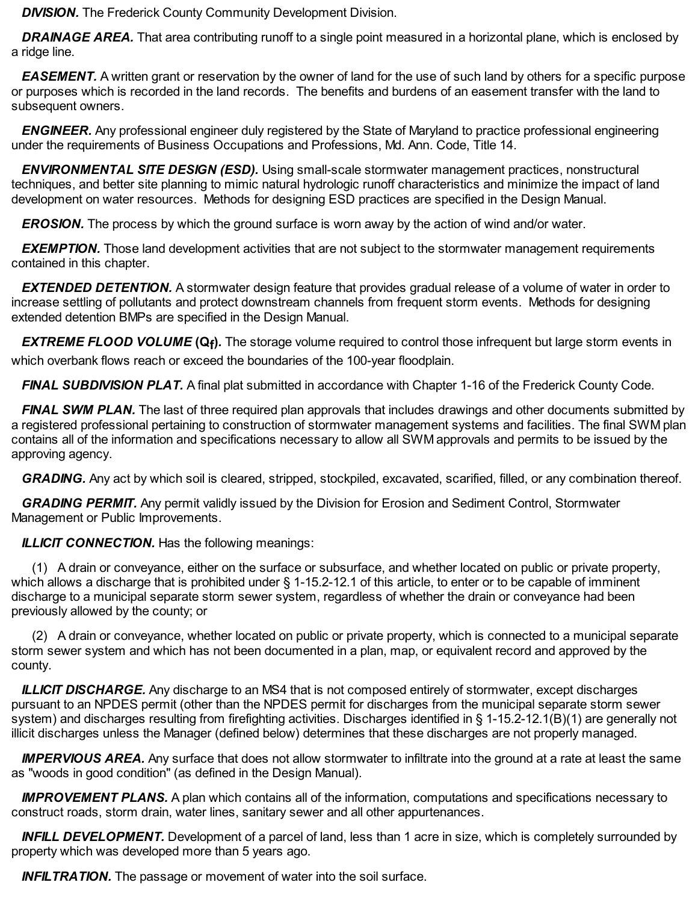**DIVISION.** The Frederick County Community Development Division.

*DRAINAGE AREA.* That area contributing runoff to a single point measured in a horizontal plane, which is enclosed by a ridge line.

*EASEMENT.* A written grant or reservation by the owner of land for the use of such land by others for a specific purpose or purposes which is recorded in the land records. The benefits and burdens of an easement transfer with the land to subsequent owners.

*ENGINEER.* Any professional engineer duly registered by the State of Maryland to practice professional engineering under the requirements of Business Occupations and Professions, Md. Ann. Code, Title 14.

*ENVIRONMENTAL SITE DESIGN (ESD).* Using small-scale stormwater management practices, nonstructural techniques, and better site planning to mimic natural hydrologic runoff characteristics and minimize the impact of land development on water resources. Methods for designing ESD practices are specified in the Design Manual.

*EROSION.* The process by which the ground surface is worn away by the action of wind and/or water.

*EXEMPTION.* Those land development activities that are not subject to the stormwater management requirements contained in this chapter.

*EXTENDED DETENTION.* A stormwater design feature that provides gradual release of a volume of water in order to increase settling of pollutants and protect downstream channels from frequent storm events. Methods for designing extended detention BMPs are specified in the Design Manual.

*EXTREME FLOOD VOLUME* **(Qf )***.* The storage volume required to control those infrequent but large storm events in which overbank flows reach or exceed the boundaries of the 100-year floodplain.

*FINAL SUBDIVISION PLAT.* A final plat submitted in accordance with Chapter 1-16 of the Frederick County Code.

*FINAL SWM PLAN.* The last of three required plan approvals that includes drawings and other documents submitted by a registered professional pertaining to construction of stormwater management systems and facilities. The final SWM plan contains all of the information and specifications necessary to allow all SWM approvals and permits to be issued by the approving agency.

*GRADING.* Any act by which soil is cleared, stripped, stockpiled, excavated, scarified, filled, or any combination thereof.

*GRADING PERMIT.* Any permit validly issued by the Division for Erosion and Sediment Control, Stormwater Management or Public Improvements.

*ILLICIT CONNECTION.* Has the following meanings:

(1) A drain or conveyance, either on the surface or subsurface, and whether located on public or private property, which allows a discharge that is prohibited under § 1-15.2-12.1 of this article, to enter or to be capable of imminent discharge to a municipal separate storm sewer system, regardless of whether the drain or conveyance had been previously allowed by the county; or

(2) A drain or conveyance, whether located on public or private property, which is connected to a municipal separate storm sewer system and which has not been documented in a plan, map, or equivalent record and approved by the county.

*ILLICIT DISCHARGE.* Any discharge to an MS4 that is not composed entirely of stormwater, except discharges pursuant to an NPDES permit (other than the NPDES permit for discharges from the municipal separate storm sewer system) and discharges resulting from firefighting activities. Discharges identified in § 1-15.2-12.1(B)(1) are generally not illicit discharges unless the Manager (defined below) determines that these discharges are not properly managed.

*IMPERVIOUS AREA.* Any surface that does not allow stormwater to infiltrate into the ground at a rate at least the same as "woods in good condition" (as defined in the Design Manual).

*IMPROVEMENT PLANS.* A plan which contains all of the information, computations and specifications necessary to construct roads, storm drain, water lines, sanitary sewer and all other appurtenances.

*INFILL DEVELOPMENT.* Development of a parcel of land, less than 1 acre in size, which is completely surrounded by property which was developed more than 5 years ago.

**INFILTRATION.** The passage or movement of water into the soil surface.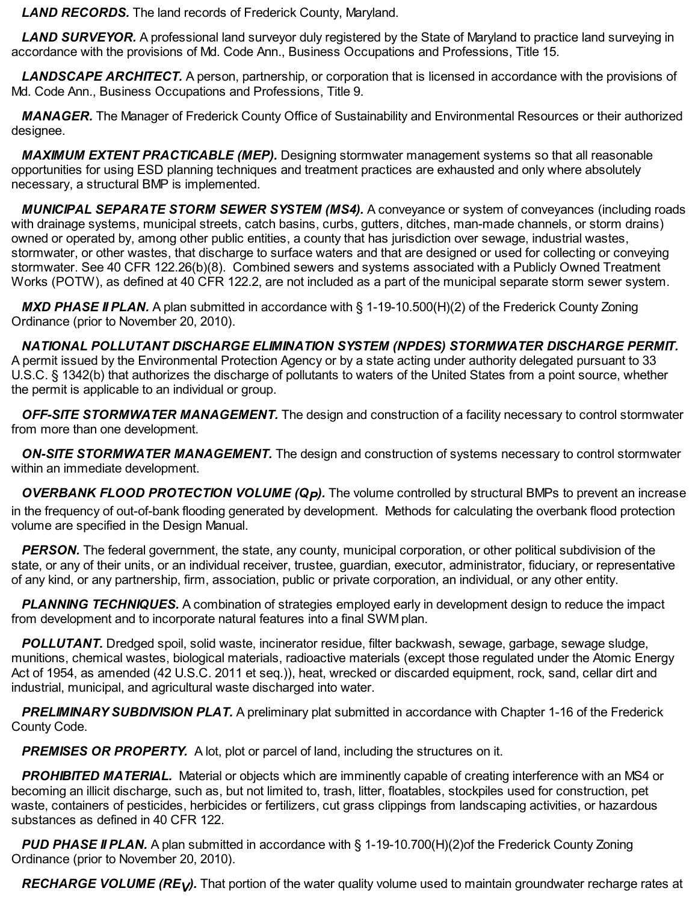*LAND RECORDS.* The land records of Frederick County, Maryland.

*LAND SURVEYOR.* A professional land surveyor duly registered by the State of Maryland to practice land surveying in accordance with the provisions of Md. Code Ann., Business Occupations and Professions, Title 15.

*LANDSCAPE ARCHITECT.* A person, partnership, or corporation that is licensed in accordance with the provisions of Md. Code Ann., Business Occupations and Professions, Title 9.

*MANAGER.* The Manager of Frederick County Office of Sustainability and Environmental Resources or their authorized designee.

*MAXIMUM EXTENT PRACTICABLE (MEP).* Designing stormwater management systems so that all reasonable opportunities for using ESD planning techniques and treatment practices are exhausted and only where absolutely necessary, a structural BMP is implemented.

*MUNICIPAL SEPARATE STORM SEWER SYSTEM (MS4).* A conveyance or system of conveyances (including roads with drainage systems, municipal streets, catch basins, curbs, gutters, ditches, man-made channels, or storm drains) owned or operated by, among other public entities, a county that has jurisdiction over sewage, industrial wastes, stormwater, or other wastes, that discharge to surface waters and that are designed or used for collecting or conveying stormwater. See 40 CFR 122.26(b)(8). Combined sewers and systems associated with a Publicly Owned Treatment Works (POTW), as defined at 40 CFR 122.2, are not included as a part of the municipal separate storm sewer system.

*MXD PHASE II PLAN.* A plan submitted in accordance with § 1-19-10.500(H)(2) of the Frederick County Zoning Ordinance (prior to November 20, 2010).

*NATIONAL POLLUTANT DISCHARGE ELIMINATION SYSTEM (NPDES) STORMWATER DISCHARGE PERMIT.* A permit issued by the Environmental Protection Agency or by a state acting under authority delegated pursuant to 33 U.S.C. § 1342(b) that authorizes the discharge of pollutants to waters of the United States from a point source, whether the permit is applicable to an individual or group.

*OFF-SITE STORMWATER MANAGEMENT.* The design and construction of a facility necessary to control stormwater from more than one development.

*ON-SITE STORMWATER MANAGEMENT.* The design and construction of systems necessary to control stormwater within an immediate development.

*OVERBANK FLOOD PROTECTION VOLUME (QP).* The volume controlled by structural BMPs to prevent an increase in the frequency of out-of-bank flooding generated by development. Methods for calculating the overbank flood protection volume are specified in the Design Manual.

**PERSON.** The federal government, the state, any county, municipal corporation, or other political subdivision of the state, or any of their units, or an individual receiver, trustee, guardian, executor, administrator, fiduciary, or representative of any kind, or any partnership, firm, association, public or private corporation, an individual, or any other entity.

*PLANNING TECHNIQUES.* A combination of strategies employed early in development design to reduce the impact from development and to incorporate natural features into a final SWM plan.

*POLLUTANT.* Dredged spoil, solid waste, incinerator residue, filter backwash, sewage, garbage, sewage sludge, munitions, chemical wastes, biological materials, radioactive materials (except those regulated under the Atomic Energy Act of 1954, as amended (42 U.S.C. 2011 et seq.)), heat, wrecked or discarded equipment, rock, sand, cellar dirt and industrial, municipal, and agricultural waste discharged into water.

*PRELIMINARY SUBDIVISION PLAT.* A preliminary plat submitted in accordance with Chapter 1-16 of the Frederick County Code.

*PREMISES OR PROPERTY.* A lot, plot or parcel of land, including the structures on it.

*PROHIBITED MATERIAL.* Material or objects which are imminently capable of creating interference with an MS4 or becoming an illicit discharge, such as, but not limited to, trash, litter, floatables, stockpiles used for construction, pet waste, containers of pesticides, herbicides or fertilizers, cut grass clippings from landscaping activities, or hazardous substances as defined in 40 CFR 122.

*PUD PHASE II PLAN.* A plan submitted in accordance with § 1-19-10.700(H)(2)of the Frederick County Zoning Ordinance (prior to November 20, 2010).

*RECHARGE VOLUME (REV).* That portion of the water quality volume used to maintain groundwater recharge rates at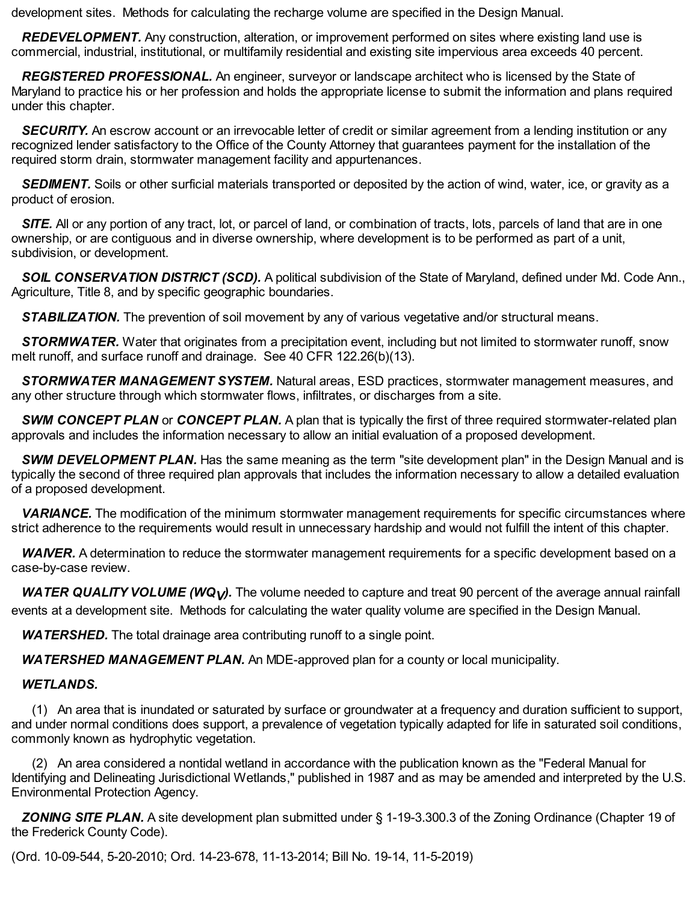development sites. Methods for calculating the recharge volume are specified in the Design Manual.

*REDEVELOPMENT.* Any construction, alteration, or improvement performed on sites where existing land use is commercial, industrial, institutional, or multifamily residential and existing site impervious area exceeds 40 percent.

*REGISTERED PROFESSIONAL.* An engineer, surveyor or landscape architect who is licensed by the State of Maryland to practice his or her profession and holds the appropriate license to submit the information and plans required under this chapter.

**SECURITY.** An escrow account or an irrevocable letter of credit or similar agreement from a lending institution or any recognized lender satisfactory to the Office of the County Attorney that guarantees payment for the installation of the required storm drain, stormwater management facility and appurtenances.

**SEDIMENT.** Soils or other surficial materials transported or deposited by the action of wind, water, ice, or gravity as a product of erosion.

*SITE.* All or any portion of any tract, lot, or parcel of land, or combination of tracts, lots, parcels of land that are in one ownership, or are contiguous and in diverse ownership, where development is to be performed as part of a unit, subdivision, or development.

*SOIL CONSERVATION DISTRICT (SCD).* A political subdivision of the State of Maryland, defined under Md. Code Ann., Agriculture, Title 8, and by specific geographic boundaries.

**STABILIZATION.** The prevention of soil movement by any of various vegetative and/or structural means.

*STORMWATER.* Water that originates from a precipitation event, including but not limited to stormwater runoff, snow melt runoff, and surface runoff and drainage. See 40 CFR 122.26(b)(13).

*STORMWATER MANAGEMENT SYSTEM.* Natural areas, ESD practices, stormwater management measures, and any other structure through which stormwater flows, infiltrates, or discharges from a site.

*SWM CONCEPT PLAN* or *CONCEPT PLAN.* A plan that is typically the first of three required stormwater-related plan approvals and includes the information necessary to allow an initial evaluation of a proposed development.

*SWM DEVELOPMENT PLAN.* Has the same meaning as the term "site development plan" in the Design Manual and is typically the second of three required plan approvals that includes the information necessary to allow a detailed evaluation of a proposed development.

*VARIANCE.* The modification of the minimum stormwater management requirements for specific circumstances where strict adherence to the requirements would result in unnecessary hardship and would not fulfill the intent of this chapter.

*WAIVER.* A determination to reduce the stormwater management requirements for a specific development based on a case-by-case review.

*WATER QUALITY VOLUME (WQV).* The volume needed to capture and treat 90 percent of the average annual rainfall events at a development site. Methods for calculating the water quality volume are specified in the Design Manual.

*WATERSHED.* The total drainage area contributing runoff to a single point.

*WATERSHED MANAGEMENT PLAN.* An MDE-approved plan for a county or local municipality.

# *WETLANDS.*

(1) An area that is inundated or saturated by surface or groundwater at a frequency and duration sufficient to support, and under normal conditions does support, a prevalence of vegetation typically adapted for life in saturated soil conditions, commonly known as hydrophytic vegetation.

(2) An area considered a nontidal wetland in accordance with the publication known as the "Federal Manual for Identifying and Delineating Jurisdictional Wetlands," published in 1987 and as may be amended and interpreted by the U.S. Environmental Protection Agency.

*ZONING SITE PLAN.* A site development plan submitted under § 1-19-3.300.3 of the Zoning Ordinance (Chapter 19 of the Frederick County Code).

(Ord. 10-09-544, 5-20-2010; Ord. 14-23-678, 11-13-2014; Bill No. 19-14, 11-5-2019)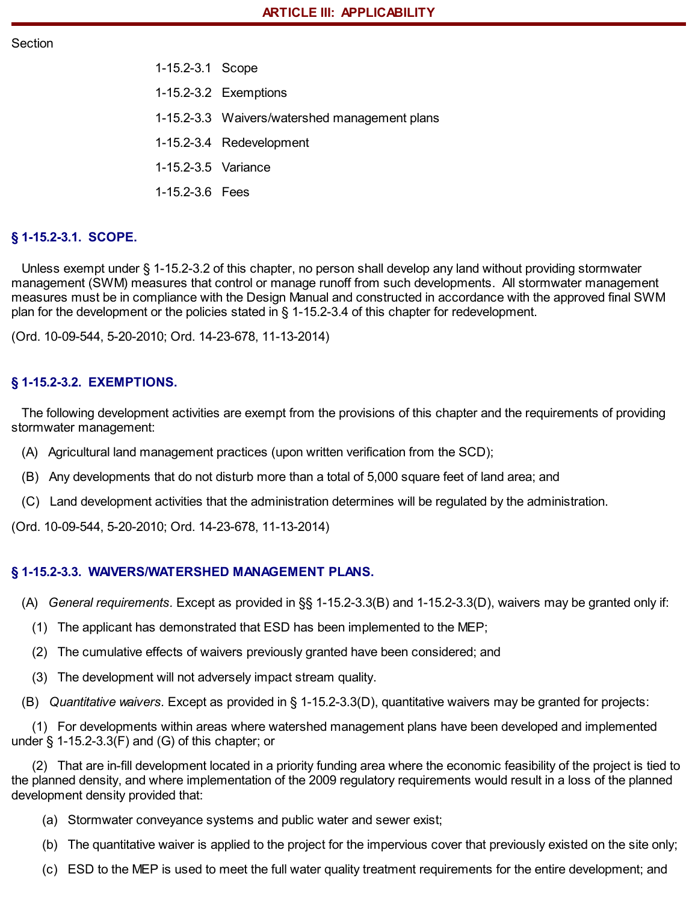#### **Section**

- 1-15.2-3.1 Scope
- 1-15.2-3.2 Exemptions
- 1-15.2-3.3 Waivers/watershed management plans
- 1-15.2-3.4 Redevelopment
- 1-15.2-3.5 Variance
- 1-15.2-3.6 Fees

## **§ 1-15.2-3.1. SCOPE.**

Unless exempt under § 1-15.2-3.2 of this chapter, no person shall develop any land without providing stormwater management (SWM) measures that control or manage runoff from such developments. All stormwater management measures must be in compliance with the Design Manual and constructed in accordance with the approved final SWM plan for the development or the policies stated in § 1-15.2-3.4 of this chapter for redevelopment.

(Ord. 10-09-544, 5-20-2010; Ord. 14-23-678, 11-13-2014)

## **§ 1-15.2-3.2. EXEMPTIONS.**

The following development activities are exempt from the provisions of this chapter and the requirements of providing stormwater management:

- (A) Agricultural land management practices (upon written verification from the SCD);
- (B) Any developments that do not disturb more than a total of 5,000 square feet of land area; and
- (C) Land development activities that the administration determines will be regulated by the administration.

(Ord. 10-09-544, 5-20-2010; Ord. 14-23-678, 11-13-2014)

#### **§ 1-15.2-3.3. WAIVERS/WATERSHED MANAGEMENT PLANS.**

- (A) *General requirements.* Except as provided in §§ 1-15.2-3.3(B) and 1-15.2-3.3(D), waivers may be granted only if:
	- (1) The applicant has demonstrated that ESD has been implemented to the MEP;
	- (2) The cumulative effects of waivers previously granted have been considered; and
	- (3) The development will not adversely impact stream quality.

(B) *Quantitative waivers.* Except as provided in § 1-15.2-3.3(D), quantitative waivers may be granted for projects:

(1) For developments within areas where watershed management plans have been developed and implemented under § 1-15.2-3.3(F) and (G) of this chapter; or

(2) That are in-fill development located in a priority funding area where the economic feasibility of the project is tied to the planned density, and where implementation of the 2009 regulatory requirements would result in a loss of the planned development density provided that:

- (a) Stormwater conveyance systems and public water and sewer exist;
- (b) The quantitative waiver is applied to the project for the impervious cover that previously existed on the site only;
- (c) ESD to the MEP is used to meet the full water quality treatment requirements for the entire development; and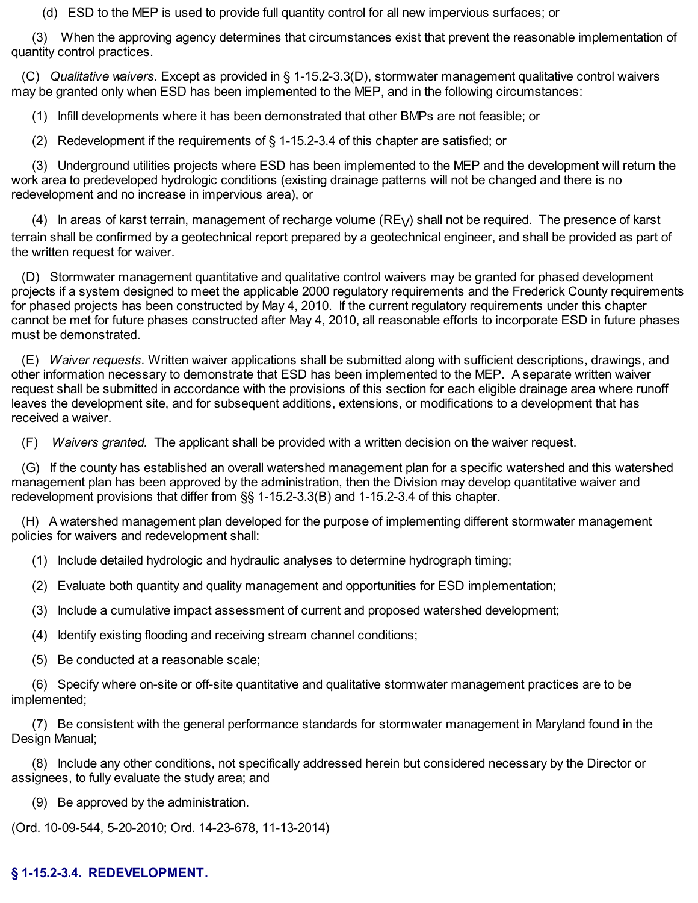(d) ESD to the MEP is used to provide full quantity control for all new impervious surfaces; or

(3) When the approving agency determines that circumstances exist that prevent the reasonable implementation of quantity control practices.

(C) *Qualitative waivers.* Except as provided in § 1-15.2-3.3(D), stormwater management qualitative control waivers may be granted only when ESD has been implemented to the MEP, and in the following circumstances:

(1) Infill developments where it has been demonstrated that other BMPs are not feasible; or

(2) Redevelopment if the requirements of § 1-15.2-3.4 of this chapter are satisfied; or

(3) Underground utilities projects where ESD has been implemented to the MEP and the development will return the work area to predeveloped hydrologic conditions (existing drainage patterns will not be changed and there is no redevelopment and no increase in impervious area), or

(4) In areas of karst terrain, management of recharge volume  $(RE_V)$  shall not be required. The presence of karst terrain shall be confirmed by a geotechnical report prepared by a geotechnical engineer, and shall be provided as part of the written request for waiver.

(D) Stormwater management quantitative and qualitative control waivers may be granted for phased development projects if a system designed to meet the applicable 2000 regulatory requirements and the Frederick County requirements for phased projects has been constructed by May 4, 2010. If the current regulatory requirements under this chapter cannot be met for future phases constructed after May 4, 2010, all reasonable efforts to incorporate ESD in future phases must be demonstrated.

(E) *Waiver requests.* Written waiver applications shall be submitted along with sufficient descriptions, drawings, and other information necessary to demonstrate that ESD has been implemented to the MEP. A separate written waiver request shall be submitted in accordance with the provisions of this section for each eligible drainage area where runoff leaves the development site, and for subsequent additions, extensions, or modifications to a development that has received a waiver.

(F) *Waivers granted.* The applicant shall be provided with a written decision on the waiver request.

(G) If the county has established an overall watershed management plan for a specific watershed and this watershed management plan has been approved by the administration, then the Division may develop quantitative waiver and redevelopment provisions that differ from §§ 1-15.2-3.3(B) and 1-15.2-3.4 of this chapter.

(H) A watershed management plan developed for the purpose of implementing different stormwater management policies for waivers and redevelopment shall:

(1) Include detailed hydrologic and hydraulic analyses to determine hydrograph timing;

(2) Evaluate both quantity and quality management and opportunities for ESD implementation;

(3) Include a cumulative impact assessment of current and proposed watershed development;

(4) Identify existing flooding and receiving stream channel conditions;

(5) Be conducted at a reasonable scale;

(6) Specify where on-site or off-site quantitative and qualitative stormwater management practices are to be implemented;

(7) Be consistent with the general performance standards for stormwater management in Maryland found in the Design Manual;

(8) Include any other conditions, not specifically addressed herein but considered necessary by the Director or assignees, to fully evaluate the study area; and

(9) Be approved by the administration.

(Ord. 10-09-544, 5-20-2010; Ord. 14-23-678, 11-13-2014)

## **§ 1-15.2-3.4. REDEVELOPMENT.**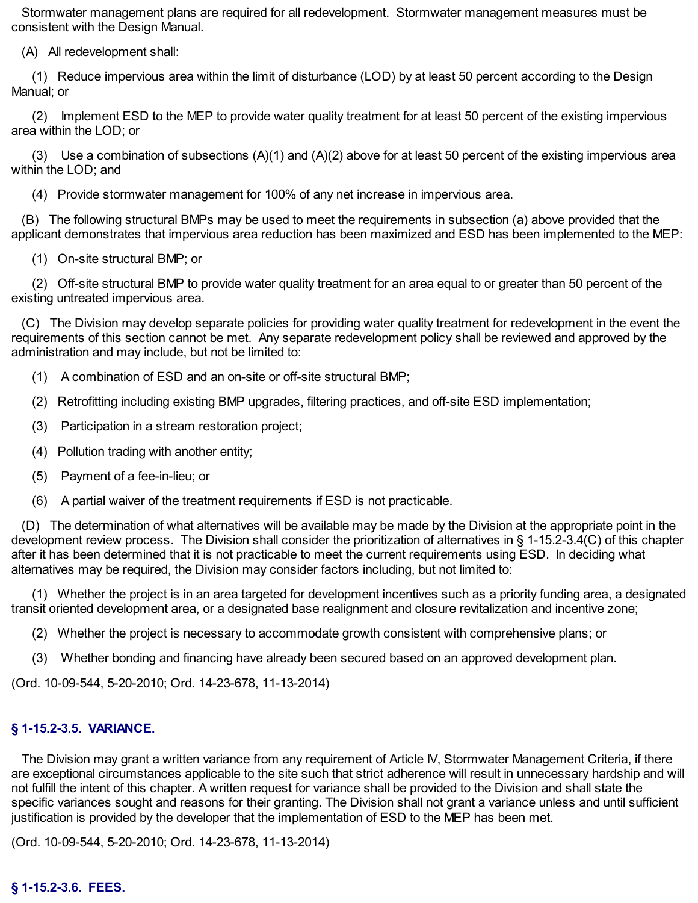Stormwater management plans are required for all redevelopment. Stormwater management measures must be consistent with the Design Manual.

(A) All redevelopment shall:

(1) Reduce impervious area within the limit of disturbance (LOD) by at least 50 percent according to the Design Manual; or

(2) Implement ESD to the MEP to provide water quality treatment for at least 50 percent of the existing impervious area within the LOD; or

(3) Use a combination of subsections (A)(1) and (A)(2) above for at least 50 percent of the existing impervious area within the LOD; and

(4) Provide stormwater management for 100% of any net increase in impervious area.

(B) The following structural BMPs may be used to meet the requirements in subsection (a) above provided that the applicant demonstrates that impervious area reduction has been maximized and ESD has been implemented to the MEP:

(1) On-site structural BMP; or

(2) Off-site structural BMP to provide water quality treatment for an area equal to or greater than 50 percent of the existing untreated impervious area.

(C) The Division may develop separate policies for providing water quality treatment for redevelopment in the event the requirements of this section cannot be met. Any separate redevelopment policy shall be reviewed and approved by the administration and may include, but not be limited to:

- (1) A combination of ESD and an on-site or off-site structural BMP;
- (2) Retrofitting including existing BMP upgrades, filtering practices, and off-site ESD implementation;
- (3) Participation in a stream restoration project;
- (4) Pollution trading with another entity;
- (5) Payment of a fee-in-lieu; or
- (6) A partial waiver of the treatment requirements if ESD is not practicable.

(D) The determination of what alternatives will be available may be made by the Division at the appropriate point in the development review process. The Division shall consider the prioritization of alternatives in § 1-15.2-3.4(C) of this chapter after it has been determined that it is not practicable to meet the current requirements using ESD. In deciding what alternatives may be required, the Division may consider factors including, but not limited to:

(1) Whether the project is in an area targeted for development incentives such as a priority funding area, a designated transit oriented development area, or a designated base realignment and closure revitalization and incentive zone;

- (2) Whether the project is necessary to accommodate growth consistent with comprehensive plans; or
- (3) Whether bonding and financing have already been secured based on an approved development plan.

(Ord. 10-09-544, 5-20-2010; Ord. 14-23-678, 11-13-2014)

#### **§ 1-15.2-3.5. VARIANCE.**

The Division may grant a written variance from any requirement of Article IV, Stormwater Management Criteria, if there are exceptional circumstances applicable to the site such that strict adherence will result in unnecessary hardship and will not fulfill the intent of this chapter. A written request for variance shall be provided to the Division and shall state the specific variances sought and reasons for their granting. The Division shall not grant a variance unless and until sufficient justification is provided by the developer that the implementation of ESD to the MEP has been met.

(Ord. 10-09-544, 5-20-2010; Ord. 14-23-678, 11-13-2014)

#### **§ 1-15.2-3.6. FEES.**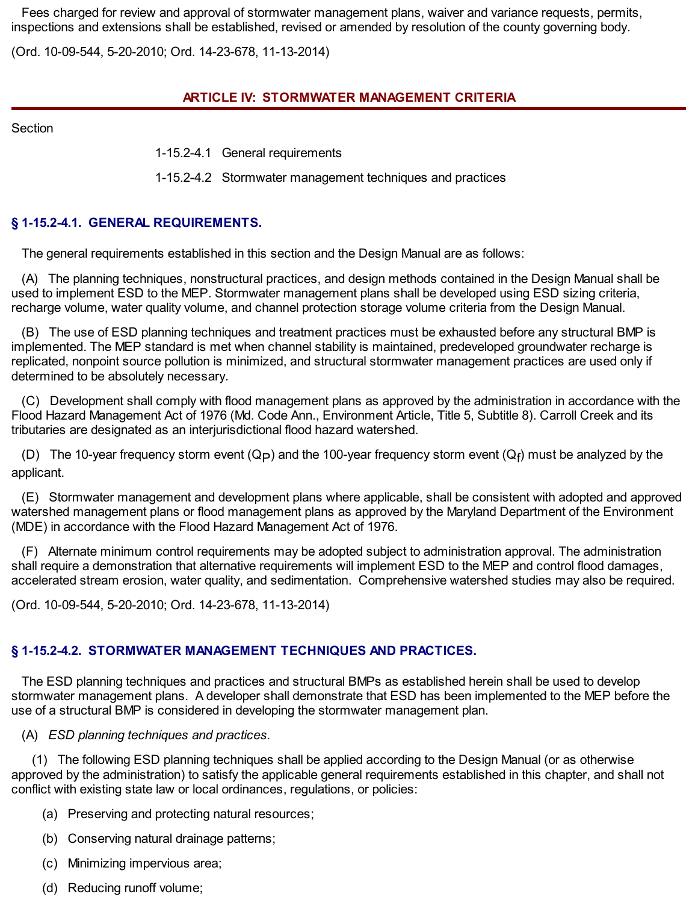Fees charged for review and approval of stormwater management plans, waiver and variance requests, permits, inspections and extensions shall be established, revised or amended by resolution of the county governing body.

(Ord. 10-09-544, 5-20-2010; Ord. 14-23-678, 11-13-2014)

### **ARTICLE IV: STORMWATER MANAGEMENT CRITERIA**

**Section** 

1-15.2-4.1 General requirements

1-15.2-4.2 Stormwater management techniques and practices

## **§ 1-15.2-4.1. GENERAL REQUIREMENTS.**

The general requirements established in this section and the Design Manual are as follows:

(A) The planning techniques, nonstructural practices, and design methods contained in the Design Manual shall be used to implement ESD to the MEP. Stormwater management plans shall be developed using ESD sizing criteria, recharge volume, water quality volume, and channel protection storage volume criteria from the Design Manual.

(B) The use of ESD planning techniques and treatment practices must be exhausted before any structural BMP is implemented. The MEP standard is met when channel stability is maintained, predeveloped groundwater recharge is replicated, nonpoint source pollution is minimized, and structural stormwater management practices are used only if determined to be absolutely necessary.

(C) Development shall comply with flood management plans as approved by the administration in accordance with the Flood Hazard Management Act of 1976 (Md. Code Ann., Environment Article, Title 5, Subtitle 8). Carroll Creek and its tributaries are designated as an interjurisdictional flood hazard watershed.

(D) The 10-year frequency storm event (Q<sub>P</sub>) and the 100-year frequency storm event (Q<sub>f</sub>) must be analyzed by the applicant.

(E) Stormwater management and development plans where applicable, shall be consistent with adopted and approved watershed management plans or flood management plans as approved by the Maryland Department of the Environment (MDE) in accordance with the Flood Hazard Management Act of 1976.

(F) Alternate minimum control requirements may be adopted subject to administration approval. The administration shall require a demonstration that alternative requirements will implement ESD to the MEP and control flood damages, accelerated stream erosion, water quality, and sedimentation. Comprehensive watershed studies may also be required.

(Ord. 10-09-544, 5-20-2010; Ord. 14-23-678, 11-13-2014)

# **§ 1-15.2-4.2. STORMWATER MANAGEMENT TECHNIQUES AND PRACTICES.**

The ESD planning techniques and practices and structural BMPs as established herein shall be used to develop stormwater management plans. A developer shall demonstrate that ESD has been implemented to the MEP before the use of a structural BMP is considered in developing the stormwater management plan.

(A) *ESD planning techniques and practices.*

(1) The following ESD planning techniques shall be applied according to the Design Manual (or as otherwise approved by the administration) to satisfy the applicable general requirements established in this chapter, and shall not conflict with existing state law or local ordinances, regulations, or policies:

- (a) Preserving and protecting natural resources;
- (b) Conserving natural drainage patterns;
- (c) Minimizing impervious area;
- (d) Reducing runoff volume;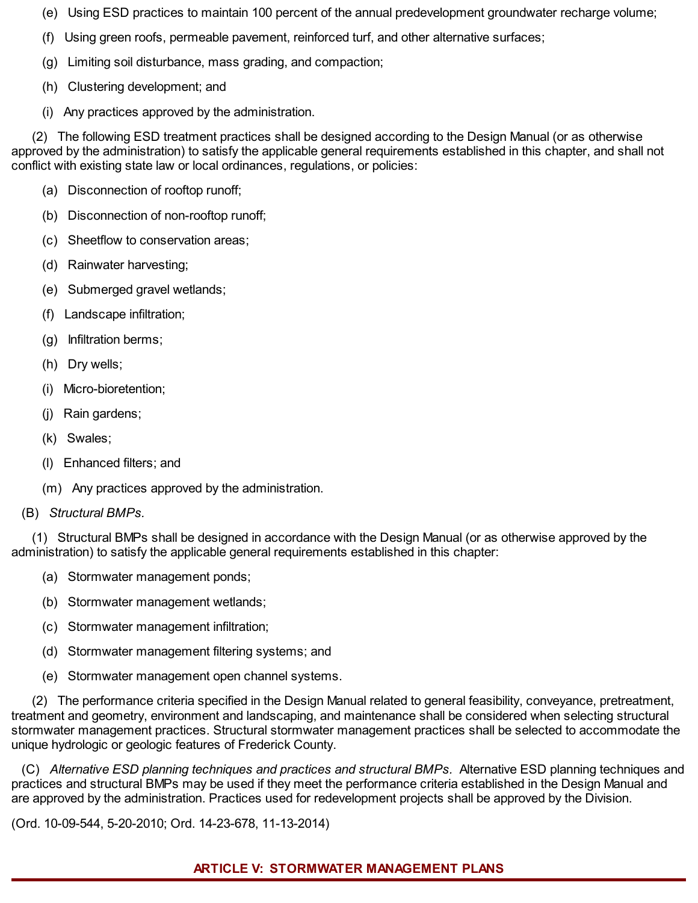- (e) Using ESD practices to maintain 100 percent of the annual predevelopment groundwater recharge volume;
- (f) Using green roofs, permeable pavement, reinforced turf, and other alternative surfaces;
- (g) Limiting soil disturbance, mass grading, and compaction;
- (h) Clustering development; and
- (i) Any practices approved by the administration.

(2) The following ESD treatment practices shall be designed according to the Design Manual (or as otherwise approved by the administration) to satisfy the applicable general requirements established in this chapter, and shall not conflict with existing state law or local ordinances, regulations, or policies:

- (a) Disconnection of rooftop runoff;
- (b) Disconnection of non-rooftop runoff;
- (c) Sheetflow to conservation areas;
- (d) Rainwater harvesting;
- (e) Submerged gravel wetlands;
- (f) Landscape infiltration;
- (g) Infiltration berms;
- (h) Dry wells;
- (i) Micro-bioretention;
- (j) Rain gardens;
- (k) Swales;
- (l) Enhanced filters; and
- (m) Any practices approved by the administration.
- (B) *Structural BMPs.*

(1) Structural BMPs shall be designed in accordance with the Design Manual (or as otherwise approved by the administration) to satisfy the applicable general requirements established in this chapter:

- (a) Stormwater management ponds;
- (b) Stormwater management wetlands;
- (c) Stormwater management infiltration;
- (d) Stormwater management filtering systems; and
- (e) Stormwater management open channel systems.

(2) The performance criteria specified in the Design Manual related to general feasibility, conveyance, pretreatment, treatment and geometry, environment and landscaping, and maintenance shall be considered when selecting structural stormwater management practices. Structural stormwater management practices shall be selected to accommodate the unique hydrologic or geologic features of Frederick County.

(C) *Alternative ESD planning techniques and practices and structural BMPs.* Alternative ESD planning techniques and practices and structural BMPs may be used if they meet the performance criteria established in the Design Manual and are approved by the administration. Practices used for redevelopment projects shall be approved by the Division.

(Ord. 10-09-544, 5-20-2010; Ord. 14-23-678, 11-13-2014)

#### **ARTICLE V: STORMWATER MANAGEMENT PLANS**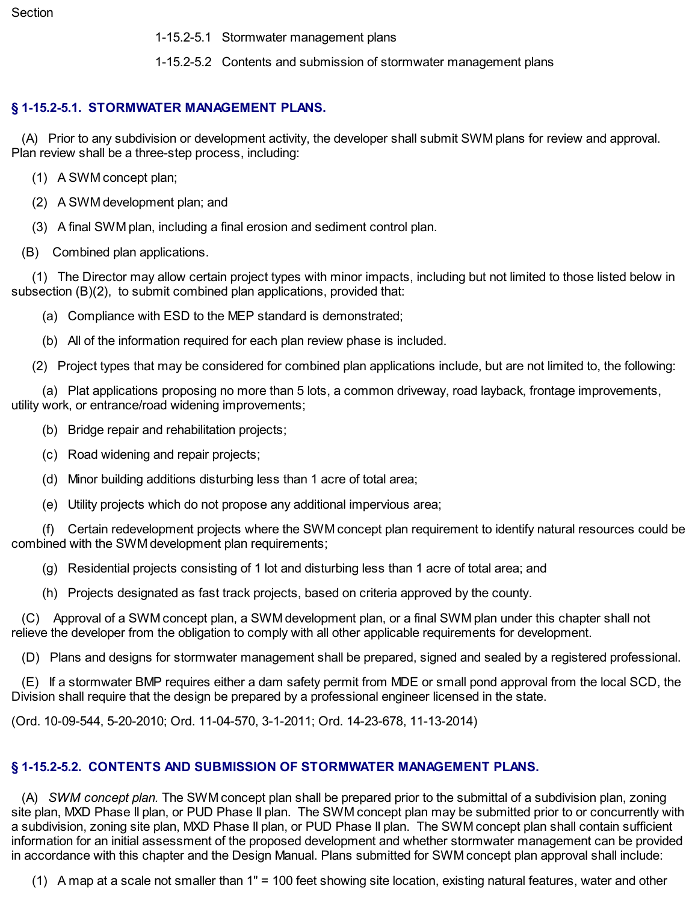1-15.2-5.1 Stormwater management plans

1-15.2-5.2 Contents and submission of stormwater management plans

## **§ 1-15.2-5.1. STORMWATER MANAGEMENT PLANS.**

(A) Prior to any subdivision or development activity, the developer shall submit SWM plans for review and approval. Plan review shall be a three-step process, including:

- (1) A SWM concept plan;
- (2) A SWM development plan; and
- (3) A final SWM plan, including a final erosion and sediment control plan.
- (B) Combined plan applications.

(1) The Director may allow certain project types with minor impacts, including but not limited to those listed below in subsection (B)(2), to submit combined plan applications, provided that:

(a) Compliance with ESD to the MEP standard is demonstrated;

(b) All of the information required for each plan review phase is included.

(2) Project types that may be considered for combined plan applications include, but are not limited to, the following:

(a) Plat applications proposing no more than 5 lots, a common driveway, road layback, frontage improvements, utility work, or entrance/road widening improvements;

- (b) Bridge repair and rehabilitation projects;
- (c) Road widening and repair projects;
- (d) Minor building additions disturbing less than 1 acre of total area;
- (e) Utility projects which do not propose any additional impervious area;

(f) Certain redevelopment projects where the SWM concept plan requirement to identify natural resources could be combined with the SWM development plan requirements;

(g) Residential projects consisting of 1 lot and disturbing less than 1 acre of total area; and

(h) Projects designated as fast track projects, based on criteria approved by the county.

(C) Approval of a SWM concept plan, a SWM development plan, or a final SWM plan under this chapter shall not relieve the developer from the obligation to comply with all other applicable requirements for development.

(D) Plans and designs for stormwater management shall be prepared, signed and sealed by a registered professional.

(E) If a stormwater BMP requires either a dam safety permit from MDE or small pond approval from the local SCD, the Division shall require that the design be prepared by a professional engineer licensed in the state.

(Ord. 10-09-544, 5-20-2010; Ord. 11-04-570, 3-1-2011; Ord. 14-23-678, 11-13-2014)

## **§ 1-15.2-5.2. CONTENTS AND SUBMISSION OF STORMWATER MANAGEMENT PLANS.**

(A) *SWM concept plan.* The SWM concept plan shall be prepared prior to the submittal of a subdivision plan, zoning site plan, MXD Phase II plan, or PUD Phase II plan. The SWM concept plan may be submitted prior to or concurrently with a subdivision, zoning site plan, MXD Phase II plan, or PUD Phase II plan. The SWM concept plan shall contain sufficient information for an initial assessment of the proposed development and whether stormwater management can be provided in accordance with this chapter and the Design Manual. Plans submitted for SWM concept plan approval shall include:

(1) A map at a scale not smaller than 1" = 100 feet showing site location, existing natural features, water and other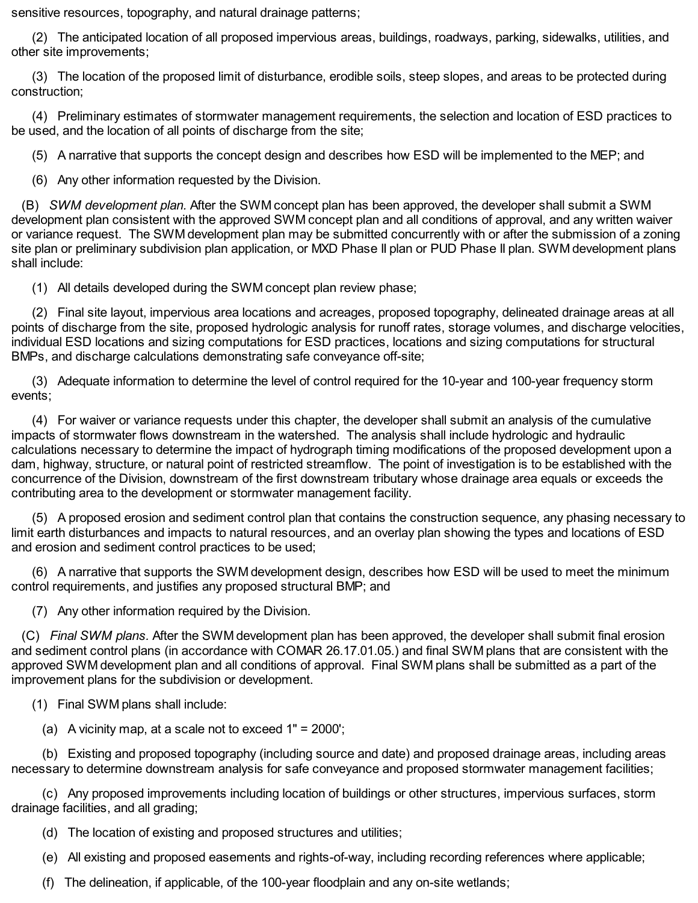sensitive resources, topography, and natural drainage patterns;

(2) The anticipated location of all proposed impervious areas, buildings, roadways, parking, sidewalks, utilities, and other site improvements;

(3) The location of the proposed limit of disturbance, erodible soils, steep slopes, and areas to be protected during construction;

(4) Preliminary estimates of stormwater management requirements, the selection and location of ESD practices to be used, and the location of all points of discharge from the site;

(5) A narrative that supports the concept design and describes how ESD will be implemented to the MEP; and

(6) Any other information requested by the Division.

(B) *SWM development plan.* After the SWM concept plan has been approved, the developer shall submit a SWM development plan consistent with the approved SWM concept plan and all conditions of approval, and any written waiver or variance request. The SWM development plan may be submitted concurrently with or after the submission of a zoning site plan or preliminary subdivision plan application, or MXD Phase II plan or PUD Phase II plan. SWM development plans shall include:

(1) All details developed during the SWM concept plan review phase;

(2) Final site layout, impervious area locations and acreages, proposed topography, delineated drainage areas at all points of discharge from the site, proposed hydrologic analysis for runoff rates, storage volumes, and discharge velocities, individual ESD locations and sizing computations for ESD practices, locations and sizing computations for structural BMPs, and discharge calculations demonstrating safe conveyance off-site;

(3) Adequate information to determine the level of control required for the 10-year and 100-year frequency storm events;

(4) For waiver or variance requests under this chapter, the developer shall submit an analysis of the cumulative impacts of stormwater flows downstream in the watershed. The analysis shall include hydrologic and hydraulic calculations necessary to determine the impact of hydrograph timing modifications of the proposed development upon a dam, highway, structure, or natural point of restricted streamflow. The point of investigation is to be established with the concurrence of the Division, downstream of the first downstream tributary whose drainage area equals or exceeds the contributing area to the development or stormwater management facility.

(5) A proposed erosion and sediment control plan that contains the construction sequence, any phasing necessary to limit earth disturbances and impacts to natural resources, and an overlay plan showing the types and locations of ESD and erosion and sediment control practices to be used;

(6) A narrative that supports the SWM development design, describes how ESD will be used to meet the minimum control requirements, and justifies any proposed structural BMP; and

(7) Any other information required by the Division.

(C) *Final SWM plans.* After the SWM development plan has been approved, the developer shall submit final erosion and sediment control plans (in accordance with COMAR 26.17.01.05.) and final SWM plans that are consistent with the approved SWM development plan and all conditions of approval. Final SWM plans shall be submitted as a part of the improvement plans for the subdivision or development.

- (1) Final SWM plans shall include:
	- (a) A vicinity map, at a scale not to exceed  $1" = 2000$ ;

(b) Existing and proposed topography (including source and date) and proposed drainage areas, including areas necessary to determine downstream analysis for safe conveyance and proposed stormwater management facilities;

(c) Any proposed improvements including location of buildings or other structures, impervious surfaces, storm drainage facilities, and all grading;

- (d) The location of existing and proposed structures and utilities;
- (e) All existing and proposed easements and rights-of-way, including recording references where applicable;
- (f) The delineation, if applicable, of the 100-year floodplain and any on-site wetlands;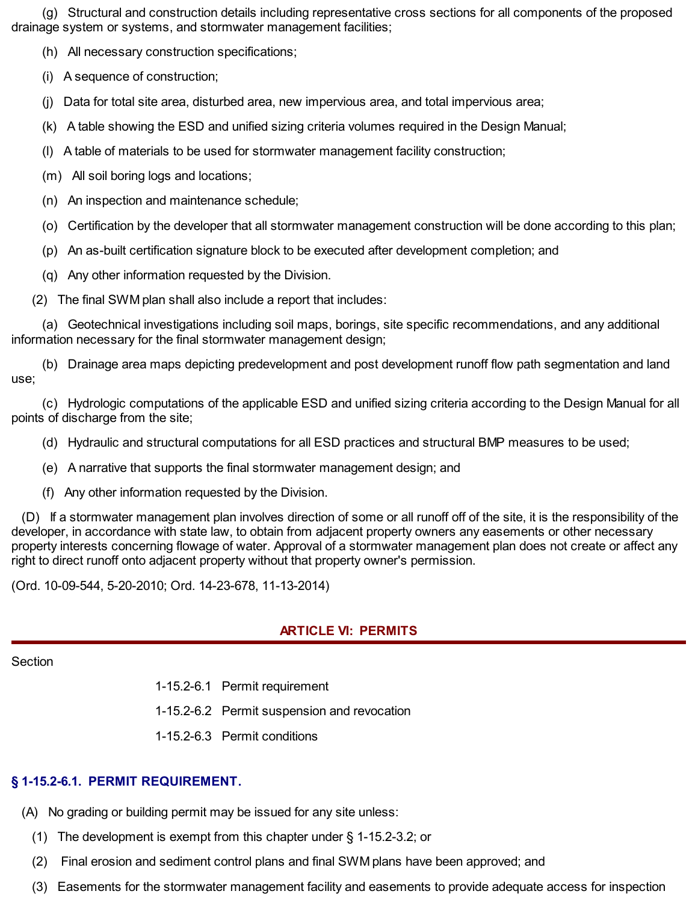(g) Structural and construction details including representative cross sections for all components of the proposed drainage system or systems, and stormwater management facilities;

(h) All necessary construction specifications;

(i) A sequence of construction;

(j) Data for total site area, disturbed area, new impervious area, and total impervious area;

(k) A table showing the ESD and unified sizing criteria volumes required in the Design Manual;

(l) A table of materials to be used for stormwater management facility construction;

(m) All soil boring logs and locations;

(n) An inspection and maintenance schedule;

(o) Certification by the developer that all stormwater management construction will be done according to this plan;

(p) An as-built certification signature block to be executed after development completion; and

(q) Any other information requested by the Division.

(2) The final SWM plan shall also include a report that includes:

(a) Geotechnical investigations including soil maps, borings, site specific recommendations, and any additional information necessary for the final stormwater management design;

(b) Drainage area maps depicting predevelopment and post development runoff flow path segmentation and land use;

(c) Hydrologic computations of the applicable ESD and unified sizing criteria according to the Design Manual for all points of discharge from the site;

- (d) Hydraulic and structural computations for all ESD practices and structural BMP measures to be used;
- (e) A narrative that supports the final stormwater management design; and
- (f) Any other information requested by the Division.

(D) If a stormwater management plan involves direction of some or all runoff off of the site, it is the responsibility of the developer, in accordance with state law, to obtain from adjacent property owners any easements or other necessary property interests concerning flowage of water. Approval of a stormwater management plan does not create or affect any right to direct runoff onto adjacent property without that property owner's permission.

(Ord. 10-09-544, 5-20-2010; Ord. 14-23-678, 11-13-2014)

## **ARTICLE VI: PERMITS**

#### **Section**

1-15.2-6.1 Permit requirement

1-15.2-6.2 Permit suspension and revocation

1-15.2-6.3 Permit conditions

## **§ 1-15.2-6.1. PERMIT REQUIREMENT.**

(A) No grading or building permit may be issued for any site unless:

- (1) The development is exempt from this chapter under § 1-15.2-3.2; or
- (2) Final erosion and sediment control plans and final SWM plans have been approved; and
- (3) Easements for the stormwater management facility and easements to provide adequate access for inspection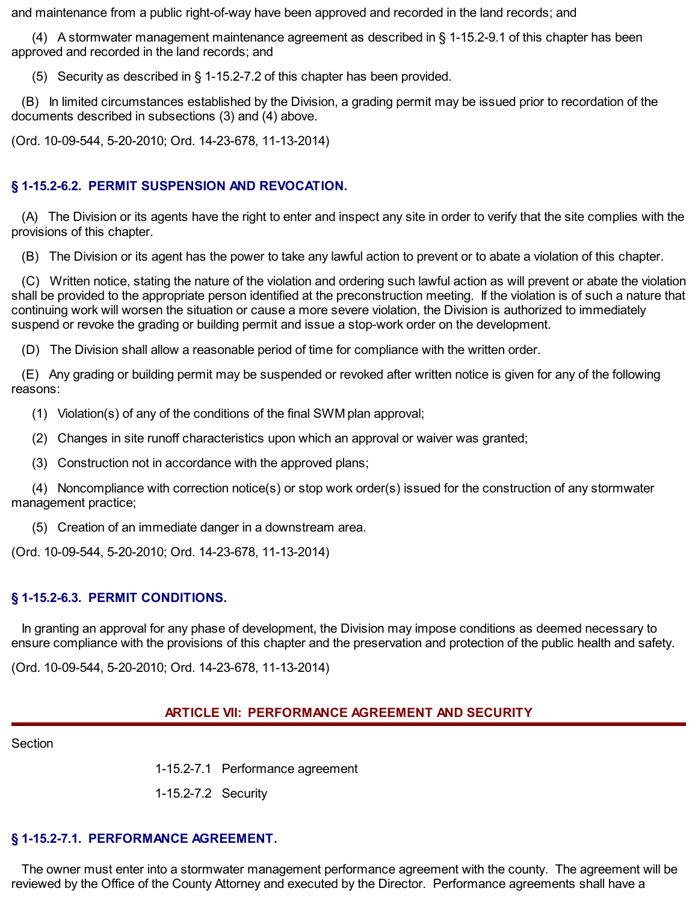and maintenance from a public right-of-way have been approved and recorded in the land records; and

(4) A stormwater management maintenance agreement as described in § 1-15.2-9.1 of this chapter has been approved and recorded in the land records; and

(5) Security as described in § 1-15.2-7.2 of this chapter has been provided.

(B) In limited circumstances established by the Division, a grading permit may be issued prior to recordation of the documents described in subsections (3) and (4) above.

(Ord. 10-09-544, 5-20-2010; Ord. 14-23-678, 11-13-2014)

# **§ 1-15.2-6.2. PERMIT SUSPENSION AND REVOCATION.**

(A) The Division or its agents have the right to enter and inspect any site in order to verify that the site complies with the provisions of this chapter.

(B) The Division or its agent has the power to take any lawful action to prevent or to abate a violation of this chapter.

(C) Written notice, stating the nature of the violation and ordering such lawful action as will prevent or abate the violation shall be provided to the appropriate person identified at the preconstruction meeting. If the violation is of such a nature that continuing work will worsen the situation or cause a more severe violation, the Division is authorized to immediately suspend or revoke the grading or building permit and issue a stop-work order on the development.

(D) The Division shall allow a reasonable period of time for compliance with the written order.

(E) Any grading or building permit may be suspended or revoked after written notice is given for any of the following reasons:

(1) Violation(s) of any of the conditions of the final SWM plan approval;

(2) Changes in site runoff characteristics upon which an approval or waiver was granted;

(3) Construction not in accordance with the approved plans;

(4) Noncompliance with correction notice(s) or stop work order(s) issued for the construction of any stormwater management practice;

(5) Creation of an immediate danger in a downstream area.

(Ord. 10-09-544, 5-20-2010; Ord. 14-23-678, 11-13-2014)

# **§ 1-15.2-6.3. PERMIT CONDITIONS.**

In granting an approval for any phase of development, the Division may impose conditions as deemed necessary to ensure compliance with the provisions of this chapter and the preservation and protection of the public health and safety.

(Ord. 10-09-544, 5-20-2010; Ord. 14-23-678, 11-13-2014)

# **ARTICLE VII: PERFORMANCE AGREEMENT AND SECURITY**

Section

1-15.2-7.1 Performance agreement

1-15.2-7.2 Security

# **§ 1-15.2-7.1. PERFORMANCE AGREEMENT.**

The owner must enter into a stormwater management performance agreement with the county. The agreement will be reviewed by the Office of the County Attorney and executed by the Director. Performance agreements shall have a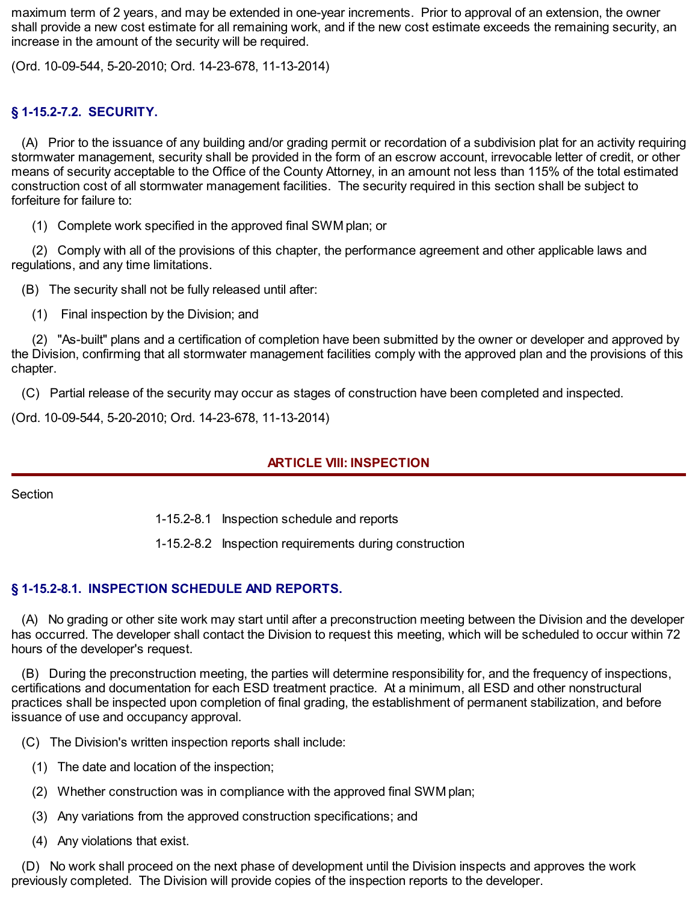maximum term of 2 years, and may be extended in one-year increments. Prior to approval of an extension, the owner shall provide a new cost estimate for all remaining work, and if the new cost estimate exceeds the remaining security, an increase in the amount of the security will be required.

(Ord. 10-09-544, 5-20-2010; Ord. 14-23-678, 11-13-2014)

## **§ 1-15.2-7.2. SECURITY.**

(A) Prior to the issuance of any building and/or grading permit or recordation of a subdivision plat for an activity requiring stormwater management, security shall be provided in the form of an escrow account, irrevocable letter of credit, or other means of security acceptable to the Office of the County Attorney, in an amount not less than 115% of the total estimated construction cost of all stormwater management facilities. The security required in this section shall be subject to forfeiture for failure to:

(1) Complete work specified in the approved final SWM plan; or

(2) Comply with all of the provisions of this chapter, the performance agreement and other applicable laws and regulations, and any time limitations.

(B) The security shall not be fully released until after:

(1) Final inspection by the Division; and

(2) "As-built" plans and a certification of completion have been submitted by the owner or developer and approved by the Division, confirming that all stormwater management facilities comply with the approved plan and the provisions of this chapter.

(C) Partial release of the security may occur as stages of construction have been completed and inspected.

(Ord. 10-09-544, 5-20-2010; Ord. 14-23-678, 11-13-2014)

#### **ARTICLE VIII: INSPECTION**

#### Section

1-15.2-8.1 Inspection schedule and reports

1-15.2-8.2 Inspection requirements during construction

#### **§ 1-15.2-8.1. INSPECTION SCHEDULE AND REPORTS.**

(A) No grading or other site work may start until after a preconstruction meeting between the Division and the developer has occurred. The developer shall contact the Division to request this meeting, which will be scheduled to occur within 72 hours of the developer's request.

(B) During the preconstruction meeting, the parties will determine responsibility for, and the frequency of inspections, certifications and documentation for each ESD treatment practice. At a minimum, all ESD and other nonstructural practices shall be inspected upon completion of final grading, the establishment of permanent stabilization, and before issuance of use and occupancy approval.

(C) The Division's written inspection reports shall include:

- (1) The date and location of the inspection;
- (2) Whether construction was in compliance with the approved final SWM plan;
- (3) Any variations from the approved construction specifications; and
- (4) Any violations that exist.

(D) No work shall proceed on the next phase of development until the Division inspects and approves the work previously completed. The Division will provide copies of the inspection reports to the developer.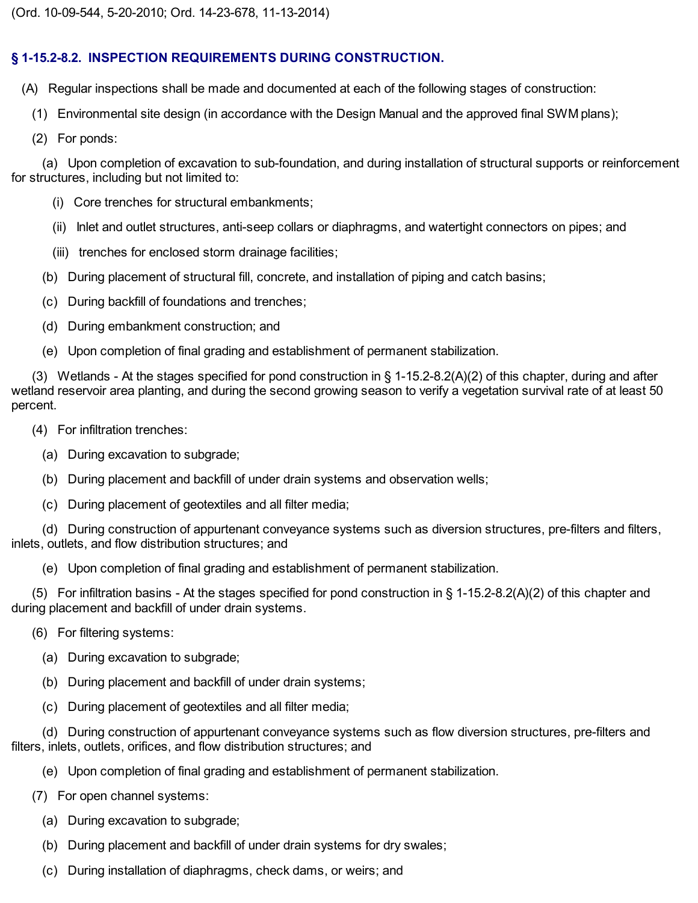# **§ 1-15.2-8.2. INSPECTION REQUIREMENTS DURING CONSTRUCTION.**

(A) Regular inspections shall be made and documented at each of the following stages of construction:

(1) Environmental site design (in accordance with the Design Manual and the approved final SWM plans);

(2) For ponds:

(a) Upon completion of excavation to sub-foundation, and during installation of structural supports or reinforcement for structures, including but not limited to:

- (i) Core trenches for structural embankments;
- (ii) Inlet and outlet structures, anti-seep collars or diaphragms, and watertight connectors on pipes; and
- (iii) trenches for enclosed storm drainage facilities;
- (b) During placement of structural fill, concrete, and installation of piping and catch basins;
- (c) During backfill of foundations and trenches;
- (d) During embankment construction; and
- (e) Upon completion of final grading and establishment of permanent stabilization.

(3) Wetlands - At the stages specified for pond construction in § 1-15.2-8.2(A)(2) of this chapter, during and after wetland reservoir area planting, and during the second growing season to verify a vegetation survival rate of at least 50 percent.

- (4) For infiltration trenches:
	- (a) During excavation to subgrade;
	- (b) During placement and backfill of under drain systems and observation wells;
	- (c) During placement of geotextiles and all filter media;

(d) During construction of appurtenant conveyance systems such as diversion structures, pre-filters and filters, inlets, outlets, and flow distribution structures; and

(e) Upon completion of final grading and establishment of permanent stabilization.

(5) For infiltration basins - At the stages specified for pond construction in § 1-15.2-8.2(A)(2) of this chapter and during placement and backfill of under drain systems.

- (6) For filtering systems:
	- (a) During excavation to subgrade;
	- (b) During placement and backfill of under drain systems;
	- (c) During placement of geotextiles and all filter media;

(d) During construction of appurtenant conveyance systems such as flow diversion structures, pre-filters and filters, inlets, outlets, orifices, and flow distribution structures; and

- (e) Upon completion of final grading and establishment of permanent stabilization.
- (7) For open channel systems:
	- (a) During excavation to subgrade;
	- (b) During placement and backfill of under drain systems for dry swales;
	- (c) During installation of diaphragms, check dams, or weirs; and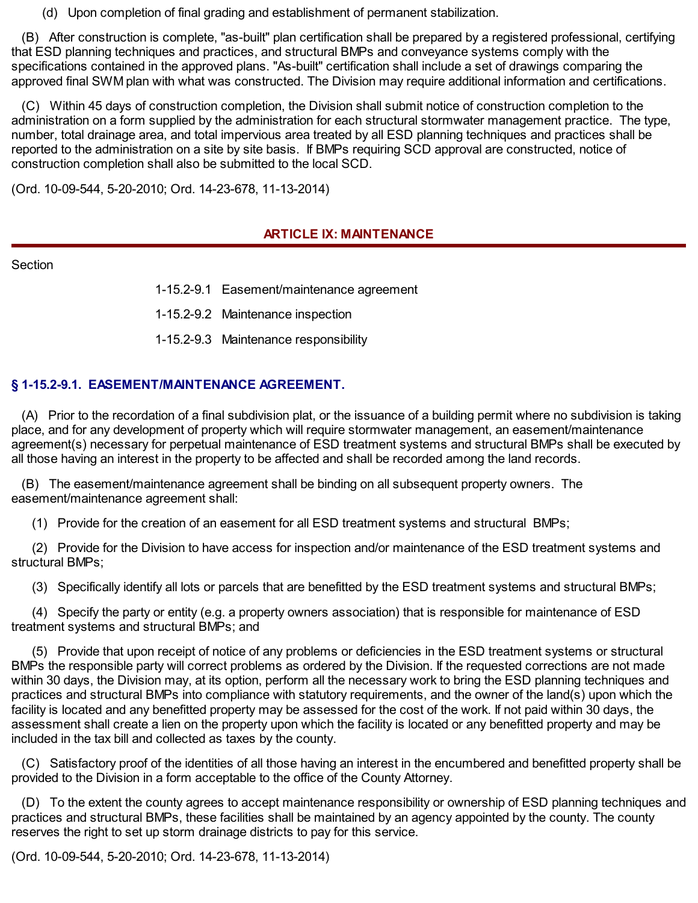(d) Upon completion of final grading and establishment of permanent stabilization.

(B) After construction is complete, "as-built" plan certification shall be prepared by a registered professional, certifying that ESD planning techniques and practices, and structural BMPs and conveyance systems comply with the specifications contained in the approved plans. "As-built" certification shall include a set of drawings comparing the approved final SWM plan with what was constructed. The Division may require additional information and certifications.

(C) Within 45 days of construction completion, the Division shall submit notice of construction completion to the administration on a form supplied by the administration for each structural stormwater management practice. The type, number, total drainage area, and total impervious area treated by all ESD planning techniques and practices shall be reported to the administration on a site by site basis. If BMPs requiring SCD approval are constructed, notice of construction completion shall also be submitted to the local SCD.

(Ord. 10-09-544, 5-20-2010; Ord. 14-23-678, 11-13-2014)

#### **ARTICLE IX: MAINTENANCE**

Section

1-15.2-9.1 Easement/maintenance agreement

1-15.2-9.2 Maintenance inspection

1-15.2-9.3 Maintenance responsibility

#### **§ 1-15.2-9.1. EASEMENT/MAINTENANCE AGREEMENT.**

(A) Prior to the recordation of a final subdivision plat, or the issuance of a building permit where no subdivision is taking place, and for any development of property which will require stormwater management, an easement/maintenance agreement(s) necessary for perpetual maintenance of ESD treatment systems and structural BMPs shall be executed by all those having an interest in the property to be affected and shall be recorded among the land records.

(B) The easement/maintenance agreement shall be binding on all subsequent property owners. The easement/maintenance agreement shall:

(1) Provide for the creation of an easement for all ESD treatment systems and structural BMPs;

(2) Provide for the Division to have access for inspection and/or maintenance of the ESD treatment systems and structural BMPs;

(3) Specifically identify all lots or parcels that are benefitted by the ESD treatment systems and structural BMPs;

(4) Specify the party or entity (e.g. a property owners association) that is responsible for maintenance of ESD treatment systems and structural BMPs; and

(5) Provide that upon receipt of notice of any problems or deficiencies in the ESD treatment systems or structural BMPs the responsible party will correct problems as ordered by the Division. If the requested corrections are not made within 30 days, the Division may, at its option, perform all the necessary work to bring the ESD planning techniques and practices and structural BMPs into compliance with statutory requirements, and the owner of the land(s) upon which the facility is located and any benefitted property may be assessed for the cost of the work. If not paid within 30 days, the assessment shall create a lien on the property upon which the facility is located or any benefitted property and may be included in the tax bill and collected as taxes by the county.

(C) Satisfactory proof of the identities of all those having an interest in the encumbered and benefitted property shall be provided to the Division in a form acceptable to the office of the County Attorney.

(D) To the extent the county agrees to accept maintenance responsibility or ownership of ESD planning techniques and practices and structural BMPs, these facilities shall be maintained by an agency appointed by the county. The county reserves the right to set up storm drainage districts to pay for this service.

(Ord. 10-09-544, 5-20-2010; Ord. 14-23-678, 11-13-2014)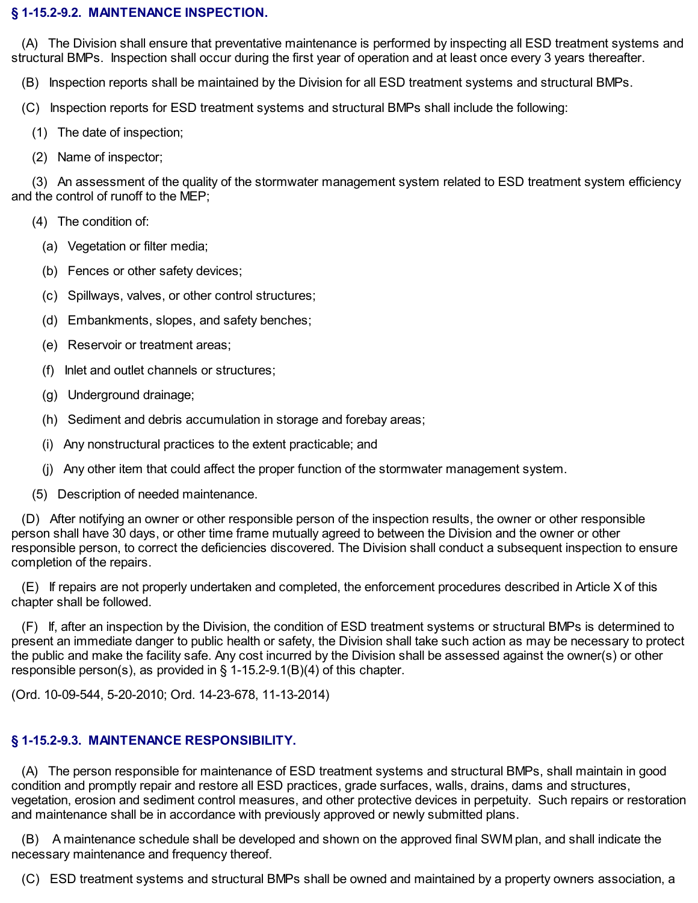#### **§ 1-15.2-9.2. MAINTENANCE INSPECTION.**

(A) The Division shall ensure that preventative maintenance is performed by inspecting all ESD treatment systems and structural BMPs. Inspection shall occur during the first year of operation and at least once every 3 years thereafter.

(B) Inspection reports shall be maintained by the Division for all ESD treatment systems and structural BMPs.

- (C) Inspection reports for ESD treatment systems and structural BMPs shall include the following:
	- (1) The date of inspection;
	- (2) Name of inspector;

(3) An assessment of the quality of the stormwater management system related to ESD treatment system efficiency and the control of runoff to the MEP;

- (4) The condition of:
	- (a) Vegetation or filter media;
	- (b) Fences or other safety devices;
	- (c) Spillways, valves, or other control structures;
	- (d) Embankments, slopes, and safety benches;
	- (e) Reservoir or treatment areas;
	- (f) Inlet and outlet channels or structures;
	- (g) Underground drainage;
	- (h) Sediment and debris accumulation in storage and forebay areas;
	- (i) Any nonstructural practices to the extent practicable; and
	- (j) Any other item that could affect the proper function of the stormwater management system.
- (5) Description of needed maintenance.

(D) After notifying an owner or other responsible person of the inspection results, the owner or other responsible person shall have 30 days, or other time frame mutually agreed to between the Division and the owner or other responsible person, to correct the deficiencies discovered. The Division shall conduct a subsequent inspection to ensure completion of the repairs.

(E) If repairs are not properly undertaken and completed, the enforcement procedures described in Article X of this chapter shall be followed.

(F) If, after an inspection by the Division, the condition of ESD treatment systems or structural BMPs is determined to present an immediate danger to public health or safety, the Division shall take such action as may be necessary to protect the public and make the facility safe. Any cost incurred by the Division shall be assessed against the owner(s) or other responsible person(s), as provided in § 1-15.2-9.1(B)(4) of this chapter.

(Ord. 10-09-544, 5-20-2010; Ord. 14-23-678, 11-13-2014)

# **§ 1-15.2-9.3. MAINTENANCE RESPONSIBILITY.**

(A) The person responsible for maintenance of ESD treatment systems and structural BMPs, shall maintain in good condition and promptly repair and restore all ESD practices, grade surfaces, walls, drains, dams and structures, vegetation, erosion and sediment control measures, and other protective devices in perpetuity. Such repairs or restoration and maintenance shall be in accordance with previously approved or newly submitted plans.

(B) A maintenance schedule shall be developed and shown on the approved final SWM plan, and shall indicate the necessary maintenance and frequency thereof.

(C) ESD treatment systems and structural BMPs shall be owned and maintained by a property owners association, a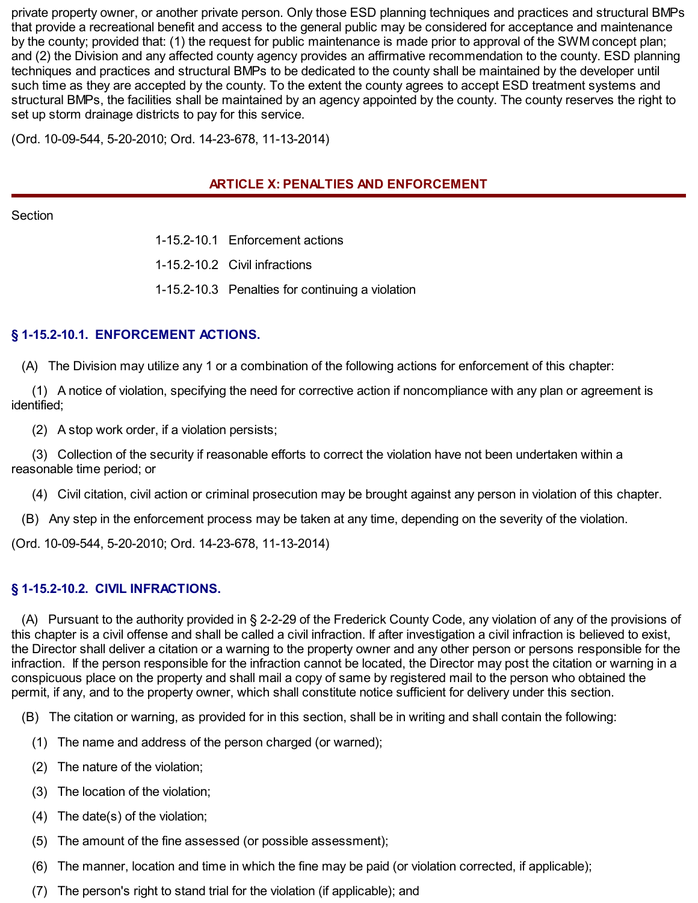private property owner, or another private person. Only those ESD planning techniques and practices and structural BMPs that provide a recreational benefit and access to the general public may be considered for acceptance and maintenance by the county; provided that: (1) the request for public maintenance is made prior to approval of the SWM concept plan; and (2) the Division and any affected county agency provides an affirmative recommendation to the county. ESD planning techniques and practices and structural BMPs to be dedicated to the county shall be maintained by the developer until such time as they are accepted by the county. To the extent the county agrees to accept ESD treatment systems and structural BMPs, the facilities shall be maintained by an agency appointed by the county. The county reserves the right to set up storm drainage districts to pay for this service.

(Ord. 10-09-544, 5-20-2010; Ord. 14-23-678, 11-13-2014)

## **ARTICLE X: PENALTIES AND ENFORCEMENT**

**Section** 

1-15.2-10.1 Enforcement actions

1-15.2-10.2 Civil infractions

1-15.2-10.3 Penalties for continuing a violation

## **§ 1-15.2-10.1. ENFORCEMENT ACTIONS.**

(A) The Division may utilize any 1 or a combination of the following actions for enforcement of this chapter:

(1) A notice of violation, specifying the need for corrective action if noncompliance with any plan or agreement is identified;

(2) A stop work order, if a violation persists;

(3) Collection of the security if reasonable efforts to correct the violation have not been undertaken within a reasonable time period; or

(4) Civil citation, civil action or criminal prosecution may be brought against any person in violation of this chapter.

(B) Any step in the enforcement process may be taken at any time, depending on the severity of the violation.

(Ord. 10-09-544, 5-20-2010; Ord. 14-23-678, 11-13-2014)

#### **§ 1-15.2-10.2. CIVIL INFRACTIONS.**

(A) Pursuant to the authority provided in § 2-2-29 of the Frederick County Code, any violation of any of the provisions of this chapter is a civil offense and shall be called a civil infraction. If after investigation a civil infraction is believed to exist, the Director shall deliver a citation or a warning to the property owner and any other person or persons responsible for the infraction. If the person responsible for the infraction cannot be located, the Director may post the citation or warning in a conspicuous place on the property and shall mail a copy of same by registered mail to the person who obtained the permit, if any, and to the property owner, which shall constitute notice sufficient for delivery under this section.

(B) The citation or warning, as provided for in this section, shall be in writing and shall contain the following:

- (1) The name and address of the person charged (or warned);
- (2) The nature of the violation;
- (3) The location of the violation;
- (4) The date(s) of the violation;
- (5) The amount of the fine assessed (or possible assessment);
- (6) The manner, location and time in which the fine may be paid (or violation corrected, if applicable);
- (7) The person's right to stand trial for the violation (if applicable); and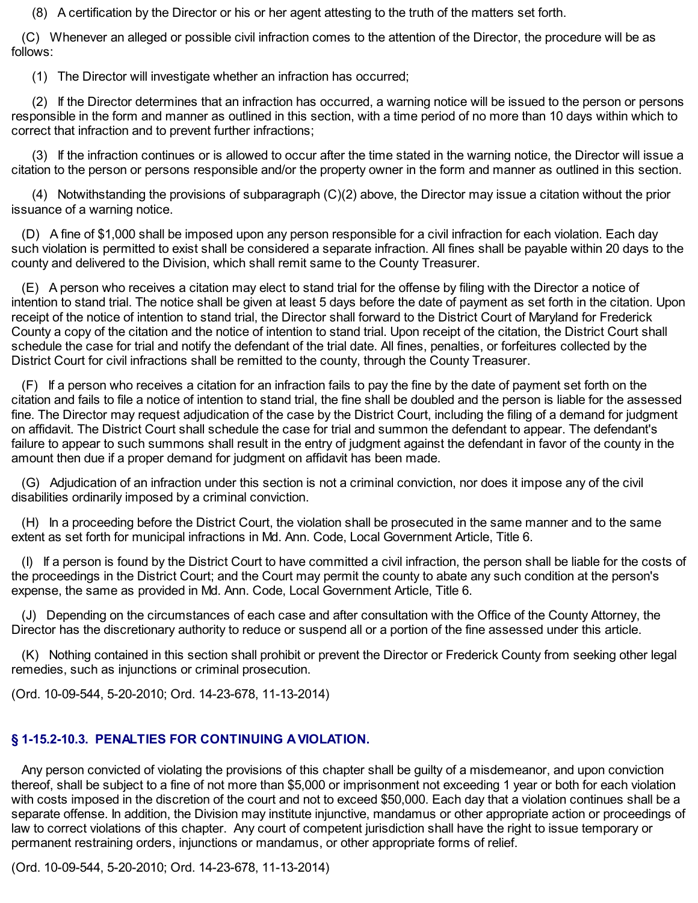(8) A certification by the Director or his or her agent attesting to the truth of the matters set forth.

(C) Whenever an alleged or possible civil infraction comes to the attention of the Director, the procedure will be as follows:

(1) The Director will investigate whether an infraction has occurred;

(2) If the Director determines that an infraction has occurred, a warning notice will be issued to the person or persons responsible in the form and manner as outlined in this section, with a time period of no more than 10 days within which to correct that infraction and to prevent further infractions;

(3) If the infraction continues or is allowed to occur after the time stated in the warning notice, the Director will issue a citation to the person or persons responsible and/or the property owner in the form and manner as outlined in this section.

(4) Notwithstanding the provisions of subparagraph (C)(2) above, the Director may issue a citation without the prior issuance of a warning notice.

(D) A fine of \$1,000 shall be imposed upon any person responsible for a civil infraction for each violation. Each day such violation is permitted to exist shall be considered a separate infraction. All fines shall be payable within 20 days to the county and delivered to the Division, which shall remit same to the County Treasurer.

(E) A person who receives a citation may elect to stand trial for the offense by filing with the Director a notice of intention to stand trial. The notice shall be given at least 5 days before the date of payment as set forth in the citation. Upon receipt of the notice of intention to stand trial, the Director shall forward to the District Court of Maryland for Frederick County a copy of the citation and the notice of intention to stand trial. Upon receipt of the citation, the District Court shall schedule the case for trial and notify the defendant of the trial date. All fines, penalties, or forfeitures collected by the District Court for civil infractions shall be remitted to the county, through the County Treasurer.

(F) If a person who receives a citation for an infraction fails to pay the fine by the date of payment set forth on the citation and fails to file a notice of intention to stand trial, the fine shall be doubled and the person is liable for the assessed fine. The Director may request adjudication of the case by the District Court, including the filing of a demand for judgment on affidavit. The District Court shall schedule the case for trial and summon the defendant to appear. The defendant's failure to appear to such summons shall result in the entry of judgment against the defendant in favor of the county in the amount then due if a proper demand for judgment on affidavit has been made.

(G) Adjudication of an infraction under this section is not a criminal conviction, nor does it impose any of the civil disabilities ordinarily imposed by a criminal conviction.

(H) In a proceeding before the District Court, the violation shall be prosecuted in the same manner and to the same extent as set forth for municipal infractions in Md. Ann. Code, Local Government Article, Title 6.

(I) If a person is found by the District Court to have committed a civil infraction, the person shall be liable for the costs of the proceedings in the District Court; and the Court may permit the county to abate any such condition at the person's expense, the same as provided in Md. Ann. Code, Local Government Article, Title 6.

(J) Depending on the circumstances of each case and after consultation with the Office of the County Attorney, the Director has the discretionary authority to reduce or suspend all or a portion of the fine assessed under this article.

(K) Nothing contained in this section shall prohibit or prevent the Director or Frederick County from seeking other legal remedies, such as injunctions or criminal prosecution.

(Ord. 10-09-544, 5-20-2010; Ord. 14-23-678, 11-13-2014)

## **§ 1-15.2-10.3. PENALTIES FOR CONTINUING A VIOLATION.**

Any person convicted of violating the provisions of this chapter shall be guilty of a misdemeanor, and upon conviction thereof, shall be subject to a fine of not more than \$5,000 or imprisonment not exceeding 1 year or both for each violation with costs imposed in the discretion of the court and not to exceed \$50,000. Each day that a violation continues shall be a separate offense. In addition, the Division may institute injunctive, mandamus or other appropriate action or proceedings of law to correct violations of this chapter. Any court of competent jurisdiction shall have the right to issue temporary or permanent restraining orders, injunctions or mandamus, or other appropriate forms of relief.

(Ord. 10-09-544, 5-20-2010; Ord. 14-23-678, 11-13-2014)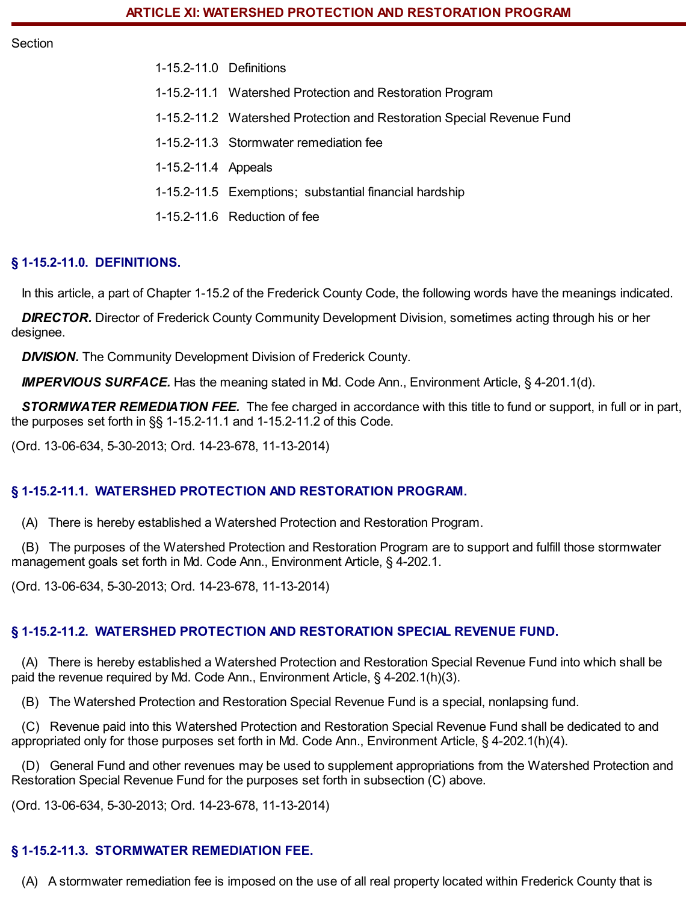Section

1-15.2-11.0 Definitions 1-15.2-11.1 Watershed Protection and Restoration Program 1-15.2-11.2 Watershed Protection and Restoration Special Revenue Fund 1-15.2-11.3 Stormwater remediation fee 1-15.2-11.4 Appeals 1-15.2-11.5 Exemptions; substantial financial hardship 1-15.2-11.6 Reduction of fee

## **§ 1-15.2-11.0. DEFINITIONS.**

In this article, a part of Chapter 1-15.2 of the Frederick County Code, the following words have the meanings indicated.

*DIRECTOR.* Director of Frederick County Community Development Division, sometimes acting through his or her designee.

**DIVISION.** The Community Development Division of Frederick County.

*IMPERVIOUS SURFACE.* Has the meaning stated in Md. Code Ann., Environment Article, § 4-201.1(d).

*STORMWATER REMEDIATION FEE.* The fee charged in accordance with this title to fund or support, in full or in part, the purposes set forth in §§ 1-15.2-11.1 and 1-15.2-11.2 of this Code.

(Ord. 13-06-634, 5-30-2013; Ord. 14-23-678, 11-13-2014)

#### **§ 1-15.2-11.1. WATERSHED PROTECTION AND RESTORATION PROGRAM.**

(A) There is hereby established a Watershed Protection and Restoration Program.

(B) The purposes of the Watershed Protection and Restoration Program are to support and fulfill those stormwater management goals set forth in Md. Code Ann., Environment Article, § 4-202.1.

(Ord. 13-06-634, 5-30-2013; Ord. 14-23-678, 11-13-2014)

#### **§ 1-15.2-11.2. WATERSHED PROTECTION AND RESTORATION SPECIAL REVENUE FUND.**

(A) There is hereby established a Watershed Protection and Restoration Special Revenue Fund into which shall be paid the revenue required by Md. Code Ann., Environment Article, § 4-202.1(h)(3).

(B) The Watershed Protection and Restoration Special Revenue Fund is a special, nonlapsing fund.

(C) Revenue paid into this Watershed Protection and Restoration Special Revenue Fund shall be dedicated to and appropriated only for those purposes set forth in Md. Code Ann., Environment Article, § 4-202.1(h)(4).

(D) General Fund and other revenues may be used to supplement appropriations from the Watershed Protection and Restoration Special Revenue Fund for the purposes set forth in subsection (C) above.

(Ord. 13-06-634, 5-30-2013; Ord. 14-23-678, 11-13-2014)

## **§ 1-15.2-11.3. STORMWATER REMEDIATION FEE.**

(A) A stormwater remediation fee is imposed on the use of all real property located within Frederick County that is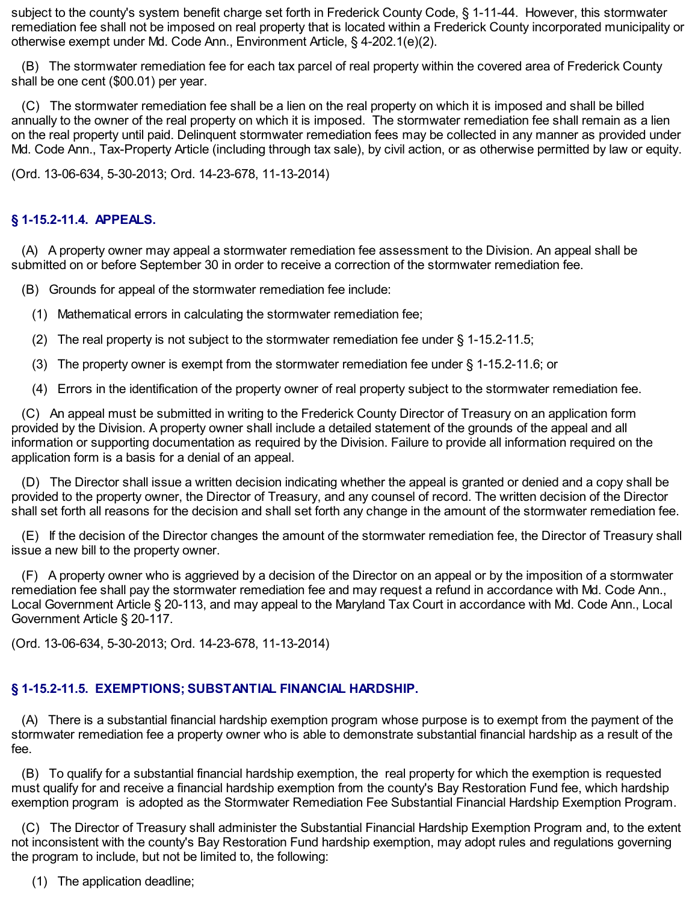subject to the county's system benefit charge set forth in Frederick County Code, § 1-11-44. However, this stormwater remediation fee shall not be imposed on real property that is located within a Frederick County incorporated municipality or otherwise exempt under Md. Code Ann., Environment Article, § 4-202.1(e)(2).

(B) The stormwater remediation fee for each tax parcel of real property within the covered area of Frederick County shall be one cent (\$00.01) per year.

(C) The stormwater remediation fee shall be a lien on the real property on which it is imposed and shall be billed annually to the owner of the real property on which it is imposed. The stormwater remediation fee shall remain as a lien on the real property until paid. Delinquent stormwater remediation fees may be collected in any manner as provided under Md. Code Ann., Tax-Property Article (including through tax sale), by civil action, or as otherwise permitted by law or equity.

(Ord. 13-06-634, 5-30-2013; Ord. 14-23-678, 11-13-2014)

## **§ 1-15.2-11.4. APPEALS.**

(A) A property owner may appeal a stormwater remediation fee assessment to the Division. An appeal shall be submitted on or before September 30 in order to receive a correction of the stormwater remediation fee.

(B) Grounds for appeal of the stormwater remediation fee include:

- (1) Mathematical errors in calculating the stormwater remediation fee;
- (2) The real property is not subject to the stormwater remediation fee under § 1-15.2-11.5;
- (3) The property owner is exempt from the stormwater remediation fee under § 1-15.2-11.6; or
- (4) Errors in the identification of the property owner of real property subject to the stormwater remediation fee.

(C) An appeal must be submitted in writing to the Frederick County Director of Treasury on an application form provided by the Division. A property owner shall include a detailed statement of the grounds of the appeal and all information or supporting documentation as required by the Division. Failure to provide all information required on the application form is a basis for a denial of an appeal.

(D) The Director shall issue a written decision indicating whether the appeal is granted or denied and a copy shall be provided to the property owner, the Director of Treasury, and any counsel of record. The written decision of the Director shall set forth all reasons for the decision and shall set forth any change in the amount of the stormwater remediation fee.

(E) If the decision of the Director changes the amount of the stormwater remediation fee, the Director of Treasury shall issue a new bill to the property owner.

(F) A property owner who is aggrieved by a decision of the Director on an appeal or by the imposition of a stormwater remediation fee shall pay the stormwater remediation fee and may request a refund in accordance with Md. Code Ann., Local Government Article § 20-113, and may appeal to the Maryland Tax Court in accordance with Md. Code Ann., Local Government Article § 20-117.

(Ord. 13-06-634, 5-30-2013; Ord. 14-23-678, 11-13-2014)

# **§ 1-15.2-11.5. EXEMPTIONS; SUBSTANTIAL FINANCIAL HARDSHIP.**

(A) There is a substantial financial hardship exemption program whose purpose is to exempt from the payment of the stormwater remediation fee a property owner who is able to demonstrate substantial financial hardship as a result of the fee.

(B) To qualify for a substantial financial hardship exemption, the real property for which the exemption is requested must qualify for and receive a financial hardship exemption from the county's Bay Restoration Fund fee, which hardship exemption program is adopted as the Stormwater Remediation Fee Substantial Financial Hardship Exemption Program.

(C) The Director of Treasury shall administer the Substantial Financial Hardship Exemption Program and, to the extent not inconsistent with the county's Bay Restoration Fund hardship exemption, may adopt rules and regulations governing the program to include, but not be limited to, the following:

(1) The application deadline;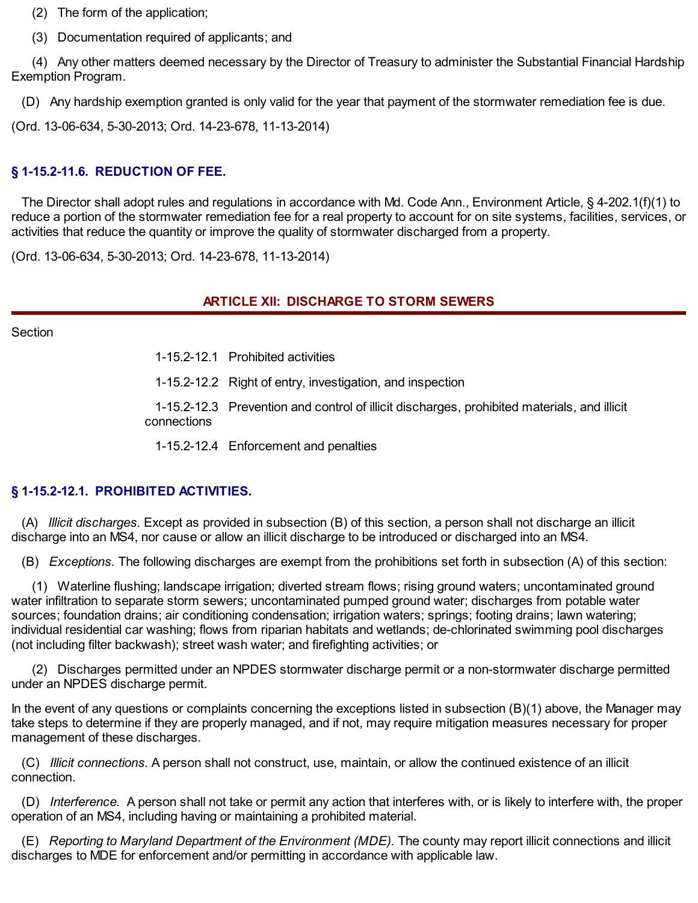(2) The form of the application;

(3) Documentation required of applicants; and

(4) Any other matters deemed necessary by the Director of Treasury to administer the Substantial Financial Hardship Exemption Program.

(D) Any hardship exemption granted is only valid for the year that payment of the stormwater remediation fee is due.

(Ord. 13-06-634, 5-30-2013; Ord. 14-23-678, 11-13-2014)

## **§ 1-15.2-11.6. REDUCTION OF FEE.**

The Director shall adopt rules and regulations in accordance with Md. Code Ann., Environment Article, § 4-202.1(f)(1) to reduce a portion of the stormwater remediation fee for a real property to account for on site systems, facilities, services, or activities that reduce the quantity or improve the quality of stormwater discharged from a property.

(Ord. 13-06-634, 5-30-2013; Ord. 14-23-678, 11-13-2014)

## **ARTICLE XII: DISCHARGE TO STORM SEWERS**

**Section** 

1-15.2-12.1 Prohibited activities

1-15.2-12.2 Right of entry, investigation, and inspection

1-15.2-12.3 Prevention and control of illicit discharges, prohibited materials, and illicit connections

1-15.2-12.4 Enforcement and penalties

## **§ 1-15.2-12.1. PROHIBITED ACTIVITIES.**

(A) *Illicit discharges.* Except as provided in subsection (B) of this section, a person shall not discharge an illicit discharge into an MS4, nor cause or allow an illicit discharge to be introduced or discharged into an MS4.

(B) *Exceptions.* The following discharges are exempt from the prohibitions set forth in subsection (A) of this section:

(1) Waterline flushing; landscape irrigation; diverted stream flows; rising ground waters; uncontaminated ground water infiltration to separate storm sewers; uncontaminated pumped ground water; discharges from potable water sources; foundation drains; air conditioning condensation; irrigation waters; springs; footing drains; lawn watering; individual residential car washing; flows from riparian habitats and wetlands; de-chlorinated swimming pool discharges (not including filter backwash); street wash water; and firefighting activities; or

(2) Discharges permitted under an NPDES stormwater discharge permit or a non-stormwater discharge permitted under an NPDES discharge permit.

In the event of any questions or complaints concerning the exceptions listed in subsection (B)(1) above, the Manager may take steps to determine if they are properly managed, and if not, may require mitigation measures necessary for proper management of these discharges.

(C) *Illicit connections.* A person shall not construct, use, maintain, or allow the continued existence of an illicit connection.

(D) *Interference.* A person shall not take or permit any action that interferes with, or is likely to interfere with, the proper operation of an MS4, including having or maintaining a prohibited material.

(E) *Reporting to Maryland Department of the Environment (MDE).* The county may report illicit connections and illicit discharges to MDE for enforcement and/or permitting in accordance with applicable law.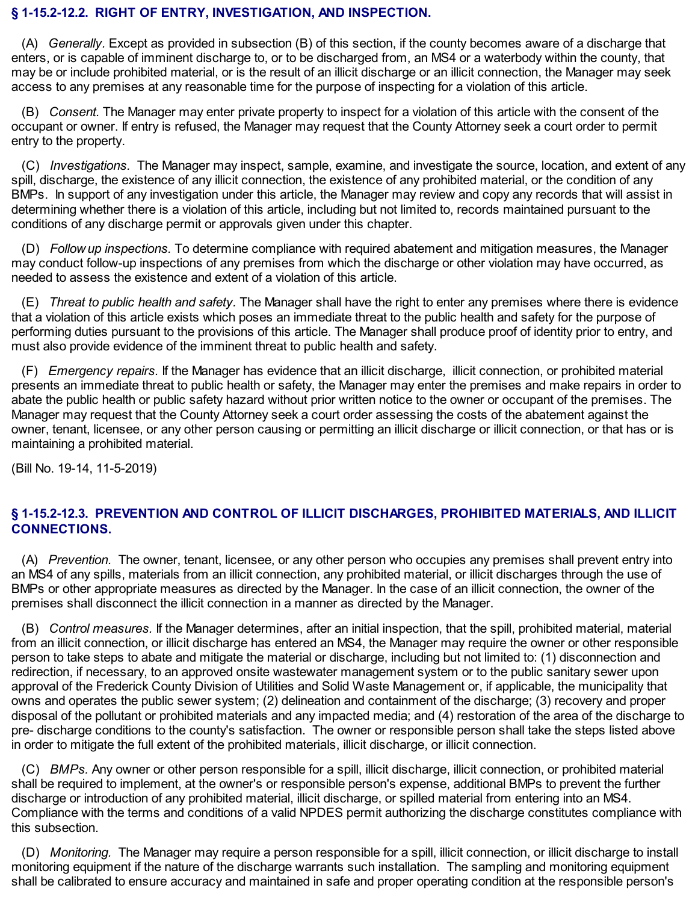#### **§ 1-15.2-12.2. RIGHT OF ENTRY, INVESTIGATION, AND INSPECTION.**

(A) *Generally.* Except as provided in subsection (B) of this section, if the county becomes aware of a discharge that enters, or is capable of imminent discharge to, or to be discharged from, an MS4 or a waterbody within the county, that may be or include prohibited material, or is the result of an illicit discharge or an illicit connection, the Manager may seek access to any premises at any reasonable time for the purpose of inspecting for a violation of this article.

(B) *Consent.* The Manager may enter private property to inspect for a violation of this article with the consent of the occupant or owner. If entry is refused, the Manager may request that the County Attorney seek a court order to permit entry to the property.

(C) *Investigations.* The Manager may inspect, sample, examine, and investigate the source, location, and extent of any spill, discharge, the existence of any illicit connection, the existence of any prohibited material, or the condition of any BMPs. In support of any investigation under this article, the Manager may review and copy any records that will assist in determining whether there is a violation of this article, including but not limited to, records maintained pursuant to the conditions of any discharge permit or approvals given under this chapter.

(D) *Follow up inspections.* To determine compliance with required abatement and mitigation measures, the Manager may conduct follow-up inspections of any premises from which the discharge or other violation may have occurred, as needed to assess the existence and extent of a violation of this article.

(E) *Threat to public health and safety.* The Manager shall have the right to enter any premises where there is evidence that a violation of this article exists which poses an immediate threat to the public health and safety for the purpose of performing duties pursuant to the provisions of this article. The Manager shall produce proof of identity prior to entry, and must also provide evidence of the imminent threat to public health and safety.

(F) *Emergency repairs.* If the Manager has evidence that an illicit discharge, illicit connection, or prohibited material presents an immediate threat to public health or safety, the Manager may enter the premises and make repairs in order to abate the public health or public safety hazard without prior written notice to the owner or occupant of the premises. The Manager may request that the County Attorney seek a court order assessing the costs of the abatement against the owner, tenant, licensee, or any other person causing or permitting an illicit discharge or illicit connection, or that has or is maintaining a prohibited material.

(Bill No. 19-14, 11-5-2019)

## **§ 1-15.2-12.3. PREVENTION AND CONTROL OF ILLICIT DISCHARGES, PROHIBITED MATERIALS, AND ILLICIT CONNECTIONS.**

(A) *Prevention.* The owner, tenant, licensee, or any other person who occupies any premises shall prevent entry into an MS4 of any spills, materials from an illicit connection, any prohibited material, or illicit discharges through the use of BMPs or other appropriate measures as directed by the Manager. In the case of an illicit connection, the owner of the premises shall disconnect the illicit connection in a manner as directed by the Manager.

(B) *Control measures.* If the Manager determines, after an initial inspection, that the spill, prohibited material, material from an illicit connection, or illicit discharge has entered an MS4, the Manager may require the owner or other responsible person to take steps to abate and mitigate the material or discharge, including but not limited to: (1) disconnection and redirection, if necessary, to an approved onsite wastewater management system or to the public sanitary sewer upon approval of the Frederick County Division of Utilities and Solid Waste Management or, if applicable, the municipality that owns and operates the public sewer system; (2) delineation and containment of the discharge; (3) recovery and proper disposal of the pollutant or prohibited materials and any impacted media; and (4) restoration of the area of the discharge to pre- discharge conditions to the county's satisfaction. The owner or responsible person shall take the steps listed above in order to mitigate the full extent of the prohibited materials, illicit discharge, or illicit connection.

(C) *BMPs.* Any owner or other person responsible for a spill, illicit discharge, illicit connection, or prohibited material shall be required to implement, at the owner's or responsible person's expense, additional BMPs to prevent the further discharge or introduction of any prohibited material, illicit discharge, or spilled material from entering into an MS4. Compliance with the terms and conditions of a valid NPDES permit authorizing the discharge constitutes compliance with this subsection.

(D) *Monitoring.* The Manager may require a person responsible for a spill, illicit connection, or illicit discharge to install monitoring equipment if the nature of the discharge warrants such installation. The sampling and monitoring equipment shall be calibrated to ensure accuracy and maintained in safe and proper operating condition at the responsible person's